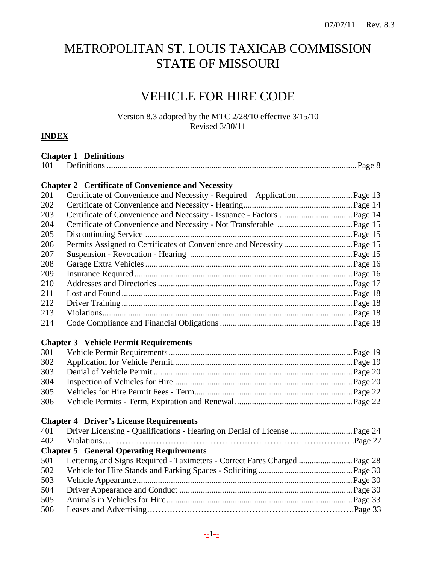# METROPOLITAN ST. LOUIS TAXICAB COMMISSION STATE OF MISSOURI

# VEHICLE FOR HIRE CODE

Version 8.3 adopted by the MTC 2/28/10 effective 3/15/10 Revised 3/30/11

## **INDEX**

|     | <b>Chapter 1 Definitions</b>                                                                                                  |  |
|-----|-------------------------------------------------------------------------------------------------------------------------------|--|
| 101 |                                                                                                                               |  |
|     |                                                                                                                               |  |
|     | <b>Chapter 2 Certificate of Convenience and Necessity</b>                                                                     |  |
| 201 | Certificate of Convenience and Necessity - Required - Application  Page 13                                                    |  |
| 202 |                                                                                                                               |  |
| 203 |                                                                                                                               |  |
| 204 |                                                                                                                               |  |
| 205 |                                                                                                                               |  |
| 206 |                                                                                                                               |  |
| 207 |                                                                                                                               |  |
| 208 |                                                                                                                               |  |
| 209 |                                                                                                                               |  |
| 210 |                                                                                                                               |  |
| 211 |                                                                                                                               |  |
| 212 |                                                                                                                               |  |
| 213 |                                                                                                                               |  |
| 214 |                                                                                                                               |  |
|     |                                                                                                                               |  |
|     | <b>Chapter 3 Vehicle Permit Requirements</b>                                                                                  |  |
| 301 |                                                                                                                               |  |
| 302 |                                                                                                                               |  |
| 303 |                                                                                                                               |  |
| 304 |                                                                                                                               |  |
| 305 |                                                                                                                               |  |
| 306 |                                                                                                                               |  |
|     |                                                                                                                               |  |
| 401 | <b>Chapter 4 Driver's License Requirements</b><br>Driver Licensing - Qualifications - Hearing on Denial of License  Page 24   |  |
| 402 |                                                                                                                               |  |
|     |                                                                                                                               |  |
| 501 | <b>Chapter 5 General Operating Requirements</b><br>Lettering and Signs Required - Taximeters - Correct Fares Charged  Page 28 |  |
| 502 |                                                                                                                               |  |
| 503 |                                                                                                                               |  |
| 504 |                                                                                                                               |  |
| 505 |                                                                                                                               |  |
| 506 |                                                                                                                               |  |
|     |                                                                                                                               |  |
|     |                                                                                                                               |  |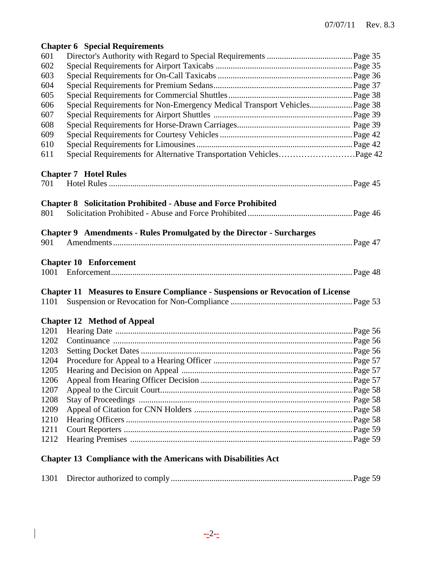|      | <b>Chapter 6</b> Special Requirements                                                  |  |
|------|----------------------------------------------------------------------------------------|--|
| 601  |                                                                                        |  |
| 602  |                                                                                        |  |
| 603  |                                                                                        |  |
| 604  |                                                                                        |  |
| 605  |                                                                                        |  |
| 606  | Special Requirements for Non-Emergency Medical Transport Vehicles Page 38              |  |
| 607  |                                                                                        |  |
| 608  |                                                                                        |  |
| 609  |                                                                                        |  |
| 610  |                                                                                        |  |
| 611  | Special Requirements for Alternative Transportation VehiclesPage 42                    |  |
|      | <b>Chapter 7 Hotel Rules</b>                                                           |  |
| 701  |                                                                                        |  |
|      | <b>Chapter 8 Solicitation Prohibited - Abuse and Force Prohibited</b>                  |  |
| 801  |                                                                                        |  |
|      | Chapter 9 Amendments - Rules Promulgated by the Director - Surcharges                  |  |
| 901  |                                                                                        |  |
|      | <b>Chapter 10 Enforcement</b>                                                          |  |
|      |                                                                                        |  |
|      | <b>Chapter 11 Measures to Ensure Compliance - Suspensions or Revocation of License</b> |  |
|      |                                                                                        |  |
|      | <b>Chapter 12 Method of Appeal</b>                                                     |  |
| 1201 |                                                                                        |  |
| 1202 |                                                                                        |  |
| 1203 |                                                                                        |  |
|      |                                                                                        |  |
| 1205 |                                                                                        |  |
| 1206 |                                                                                        |  |
| 1207 |                                                                                        |  |
| 1208 |                                                                                        |  |
| 1209 |                                                                                        |  |
| 1210 |                                                                                        |  |
| 1211 |                                                                                        |  |
|      |                                                                                        |  |
| 1212 |                                                                                        |  |

## **Chapter 13 Compliance with the Americans with Disabilities Act**

 $\overline{\phantom{a}}$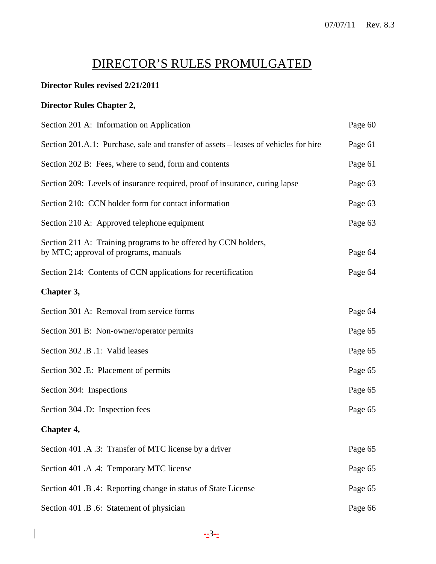# DIRECTOR'S RULES PROMULGATED

## **Director Rules revised 2/21/2011**

## **Director Rules Chapter 2,**

| Section 201 A: Information on Application                                                               | Page 60 |
|---------------------------------------------------------------------------------------------------------|---------|
| Section 201.A.1: Purchase, sale and transfer of assets – leases of vehicles for hire                    | Page 61 |
| Section 202 B: Fees, where to send, form and contents                                                   | Page 61 |
| Section 209: Levels of insurance required, proof of insurance, curing lapse                             | Page 63 |
| Section 210: CCN holder form for contact information                                                    | Page 63 |
| Section 210 A: Approved telephone equipment                                                             | Page 63 |
| Section 211 A: Training programs to be offered by CCN holders,<br>by MTC; approval of programs, manuals | Page 64 |
| Section 214: Contents of CCN applications for recertification                                           | Page 64 |
| Chapter 3,                                                                                              |         |
| Section 301 A: Removal from service forms                                                               | Page 64 |
| Section 301 B: Non-owner/operator permits                                                               | Page 65 |
| Section 302 .B .1: Valid leases                                                                         | Page 65 |
| Section 302 .E: Placement of permits                                                                    | Page 65 |
| Section 304: Inspections                                                                                | Page 65 |
| Section 304 .D: Inspection fees                                                                         | Page 65 |
| Chapter 4,                                                                                              |         |
| Section 401 .A .3: Transfer of MTC license by a driver                                                  | Page 65 |
| Section 401 .A .4: Temporary MTC license                                                                | Page 65 |
| Section 401 .B .4: Reporting change in status of State License                                          | Page 65 |
| Section 401 .B .6: Statement of physician                                                               | Page 66 |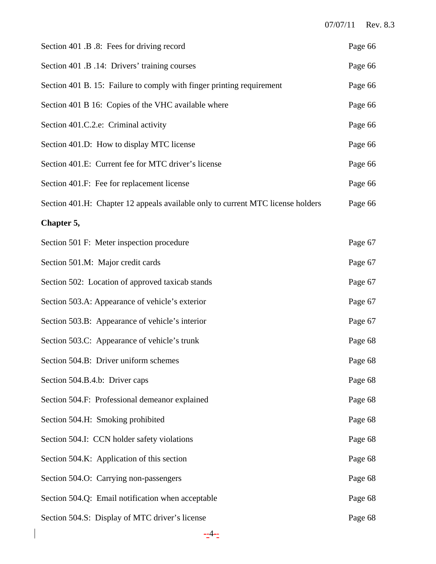| Section 401 .B .8: Fees for driving record                                      | Page 66 |
|---------------------------------------------------------------------------------|---------|
| Section 401 .B .14: Drivers' training courses                                   | Page 66 |
| Section 401 B. 15: Failure to comply with finger printing requirement           | Page 66 |
| Section 401 B 16: Copies of the VHC available where                             | Page 66 |
| Section 401.C.2.e: Criminal activity                                            | Page 66 |
| Section 401.D: How to display MTC license                                       | Page 66 |
| Section 401.E: Current fee for MTC driver's license                             | Page 66 |
| Section 401.F: Fee for replacement license                                      | Page 66 |
| Section 401.H: Chapter 12 appeals available only to current MTC license holders | Page 66 |
| Chapter 5,                                                                      |         |
| Section 501 F: Meter inspection procedure                                       | Page 67 |
| Section 501.M: Major credit cards                                               | Page 67 |
| Section 502: Location of approved taxicab stands                                | Page 67 |
| Section 503.A: Appearance of vehicle's exterior                                 | Page 67 |
| Section 503.B: Appearance of vehicle's interior                                 | Page 67 |
| Section 503.C: Appearance of vehicle's trunk                                    | Page 68 |
| Section 504.B: Driver uniform schemes                                           | Page 68 |
| Section 504.B.4.b: Driver caps                                                  | Page 68 |
| Section 504.F: Professional demeanor explained                                  | Page 68 |
| Section 504.H: Smoking prohibited                                               | Page 68 |
| Section 504.I: CCN holder safety violations                                     | Page 68 |
| Section 504.K: Application of this section                                      | Page 68 |
| Section 504.O: Carrying non-passengers                                          | Page 68 |
| Section 504.Q: Email notification when acceptable                               | Page 68 |
| Section 504.S: Display of MTC driver's license                                  | Page 68 |

 $\overline{\phantom{a}}$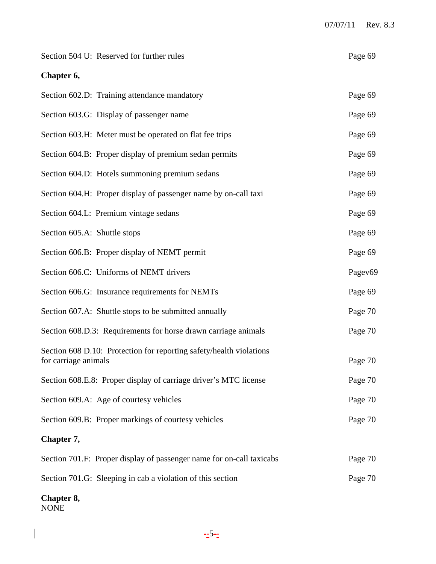| Section 504 U: Reserved for further rules                                                   | Page 69 |
|---------------------------------------------------------------------------------------------|---------|
| Chapter 6,                                                                                  |         |
| Section 602.D: Training attendance mandatory                                                | Page 69 |
| Section 603.G: Display of passenger name                                                    | Page 69 |
| Section 603.H: Meter must be operated on flat fee trips                                     | Page 69 |
| Section 604.B: Proper display of premium sedan permits                                      | Page 69 |
| Section 604.D: Hotels summoning premium sedans                                              | Page 69 |
| Section 604.H: Proper display of passenger name by on-call taxi                             | Page 69 |
| Section 604.L: Premium vintage sedans                                                       | Page 69 |
| Section 605.A: Shuttle stops                                                                | Page 69 |
| Section 606.B: Proper display of NEMT permit                                                | Page 69 |
| Section 606.C: Uniforms of NEMT drivers                                                     | Pagev69 |
| Section 606.G: Insurance requirements for NEMTs                                             | Page 69 |
| Section 607.A: Shuttle stops to be submitted annually                                       | Page 70 |
| Section 608.D.3: Requirements for horse drawn carriage animals                              | Page 70 |
| Section 608 D.10: Protection for reporting safety/health violations<br>for carriage animals | Page 70 |
| Section 608.E.8: Proper display of carriage driver's MTC license                            | Page 70 |
| Section 609.A: Age of courtesy vehicles                                                     | Page 70 |
| Section 609.B: Proper markings of courtesy vehicles                                         | Page 70 |
| Chapter 7,                                                                                  |         |
| Section 701.F: Proper display of passenger name for on-call taxicabs                        | Page 70 |
| Section 701.G: Sleeping in cab a violation of this section                                  | Page 70 |

**Chapter 8,**  NONE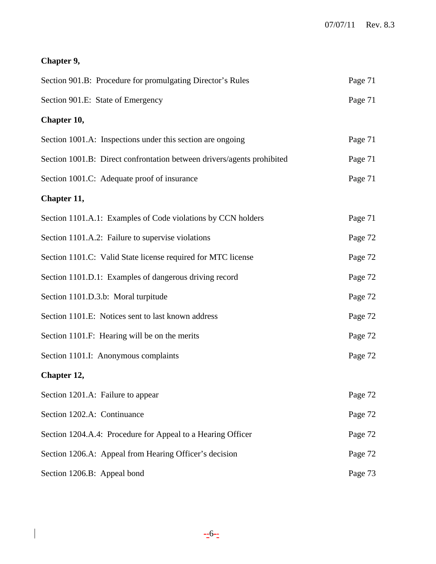# **Chapter 9,**

 $\overline{\phantom{a}}$ 

| Section 901.B: Procedure for promulgating Director's Rules             | Page 71 |
|------------------------------------------------------------------------|---------|
| Section 901.E: State of Emergency                                      | Page 71 |
| Chapter 10,                                                            |         |
| Section 1001.A: Inspections under this section are ongoing             | Page 71 |
| Section 1001.B: Direct confrontation between drivers/agents prohibited | Page 71 |
| Section 1001.C: Adequate proof of insurance                            | Page 71 |
| Chapter 11,                                                            |         |
| Section 1101.A.1: Examples of Code violations by CCN holders           | Page 71 |
| Section 1101.A.2: Failure to supervise violations                      | Page 72 |
| Section 1101.C: Valid State license required for MTC license           | Page 72 |
| Section 1101.D.1: Examples of dangerous driving record                 | Page 72 |
| Section 1101.D.3.b: Moral turpitude                                    | Page 72 |
| Section 1101.E: Notices sent to last known address                     | Page 72 |
| Section 1101.F: Hearing will be on the merits                          | Page 72 |
| Section 1101.I: Anonymous complaints                                   | Page 72 |
| Chapter 12,                                                            |         |
| Section 1201.A: Failure to appear                                      | Page 72 |
| Section 1202.A: Continuance                                            | Page 72 |
| Section 1204.A.4: Procedure for Appeal to a Hearing Officer            | Page 72 |
| Section 1206.A: Appeal from Hearing Officer's decision                 | Page 72 |
| Section 1206.B: Appeal bond                                            | Page 73 |

**--**6**--**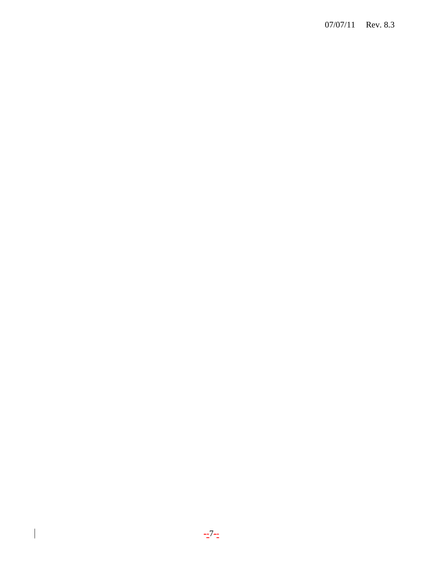07/07/11 Rev. 8.3

 $\begin{array}{c} \hline \end{array}$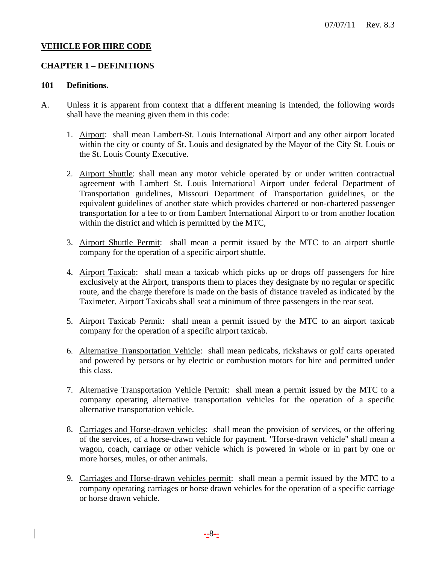## **VEHICLE FOR HIRE CODE**

### **CHAPTER 1 – DEFINITIONS**

#### **101 Definitions.**

- A. Unless it is apparent from context that a different meaning is intended, the following words shall have the meaning given them in this code:
	- 1. Airport: shall mean Lambert-St. Louis International Airport and any other airport located within the city or county of St. Louis and designated by the Mayor of the City St. Louis or the St. Louis County Executive.
	- 2. Airport Shuttle: shall mean any motor vehicle operated by or under written contractual agreement with Lambert St. Louis International Airport under federal Department of Transportation guidelines, Missouri Department of Transportation guidelines, or the equivalent guidelines of another state which provides chartered or non-chartered passenger transportation for a fee to or from Lambert International Airport to or from another location within the district and which is permitted by the MTC,
	- 3. Airport Shuttle Permit:shall mean a permit issued by the MTC to an airport shuttle company for the operation of a specific airport shuttle.
	- 4. Airport Taxicab: shall mean a taxicab which picks up or drops off passengers for hire exclusively at the Airport, transports them to places they designate by no regular or specific route, and the charge therefore is made on the basis of distance traveled as indicated by the Taximeter. Airport Taxicabs shall seat a minimum of three passengers in the rear seat.
	- 5. Airport Taxicab Permit: shall mean a permit issued by the MTC to an airport taxicab company for the operation of a specific airport taxicab.
	- 6. Alternative Transportation Vehicle: shall mean pedicabs, rickshaws or golf carts operated and powered by persons or by electric or combustion motors for hire and permitted under this class.
	- 7. Alternative Transportation Vehicle Permit: shall mean a permit issued by the MTC to a company operating alternative transportation vehicles for the operation of a specific alternative transportation vehicle.
	- 8. Carriages and Horse-drawn vehicles: shall mean the provision of services, or the offering of the services, of a horse-drawn vehicle for payment. "Horse-drawn vehicle" shall mean a wagon, coach, carriage or other vehicle which is powered in whole or in part by one or more horses, mules, or other animals.
	- 9. Carriages and Horse-drawn vehicles permit: shall mean a permit issued by the MTC to a company operating carriages or horse drawn vehicles for the operation of a specific carriage or horse drawn vehicle.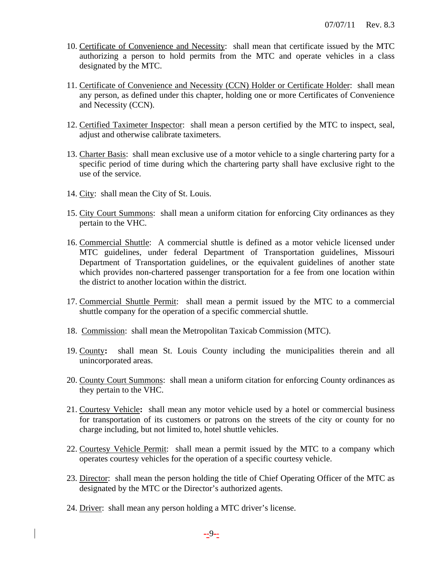- 10. Certificate of Convenience and Necessity: shall mean that certificate issued by the MTC authorizing a person to hold permits from the MTC and operate vehicles in a class designated by the MTC.
- 11. Certificate of Convenience and Necessity (CCN) Holder or Certificate Holder: shall mean any person, as defined under this chapter, holding one or more Certificates of Convenience and Necessity (CCN).
- 12. Certified Taximeter Inspector: shall mean a person certified by the MTC to inspect, seal, adjust and otherwise calibrate taximeters.
- 13. Charter Basis: shall mean exclusive use of a motor vehicle to a single chartering party for a specific period of time during which the chartering party shall have exclusive right to the use of the service.
- 14. City: shall mean the City of St. Louis.
- 15. City Court Summons: shall mean a uniform citation for enforcing City ordinances as they pertain to the VHC.
- 16. Commercial Shuttle: A commercial shuttle is defined as a motor vehicle licensed under MTC guidelines, under federal Department of Transportation guidelines, Missouri Department of Transportation guidelines, or the equivalent guidelines of another state which provides non-chartered passenger transportation for a fee from one location within the district to another location within the district.
- 17. Commercial Shuttle Permit: shall mean a permit issued by the MTC to a commercial shuttle company for the operation of a specific commercial shuttle.
- 18. Commission: shall mean the Metropolitan Taxicab Commission (MTC).
- 19. County**:** shall mean St. Louis County including the municipalities therein and all unincorporated areas.
- 20. County Court Summons: shall mean a uniform citation for enforcing County ordinances as they pertain to the VHC.
- 21. Courtesy Vehicle**:** shall mean any motor vehicle used by a hotel or commercial business for transportation of its customers or patrons on the streets of the city or county for no charge including, but not limited to, hotel shuttle vehicles.
- 22. Courtesy Vehicle Permit: shall mean a permit issued by the MTC to a company which operates courtesy vehicles for the operation of a specific courtesy vehicle.
- 23. Director: shall mean the person holding the title of Chief Operating Officer of the MTC as designated by the MTC or the Director's authorized agents.

**--**9**--**

24. Driver: shall mean any person holding a MTC driver's license.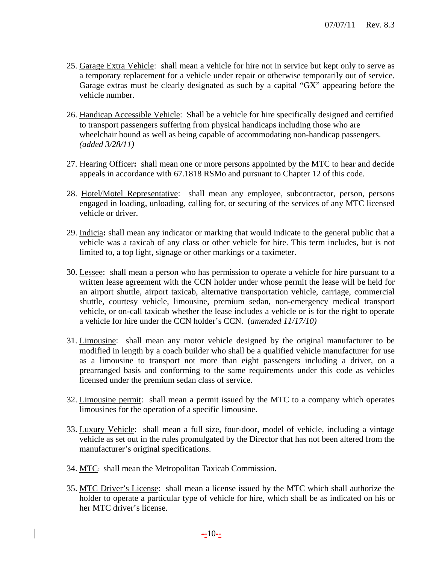- 25. Garage Extra Vehicle: shall mean a vehicle for hire not in service but kept only to serve as a temporary replacement for a vehicle under repair or otherwise temporarily out of service. Garage extras must be clearly designated as such by a capital "GX" appearing before the vehicle number.
- 26. Handicap Accessible Vehicle: Shall be a vehicle for hire specifically designed and certified to transport passengers suffering from physical handicaps including those who are wheelchair bound as well as being capable of accommodating non-handicap passengers. *(added 3/28/11)*
- 27. Hearing Officer**:** shall mean one or more persons appointed by the MTC to hear and decide appeals in accordance with 67.1818 RSMo and pursuant to Chapter 12 of this code.
- 28. Hotel/Motel Representative: shall mean any employee, subcontractor, person, persons engaged in loading, unloading, calling for, or securing of the services of any MTC licensed vehicle or driver.
- 29. Indicia**:** shall mean any indicator or marking that would indicate to the general public that a vehicle was a taxicab of any class or other vehicle for hire. This term includes, but is not limited to, a top light, signage or other markings or a taximeter.
- 30. Lessee: shall mean a person who has permission to operate a vehicle for hire pursuant to a written lease agreement with the CCN holder under whose permit the lease will be held for an airport shuttle, airport taxicab, alternative transportation vehicle, carriage, commercial shuttle, courtesy vehicle, limousine, premium sedan, non-emergency medical transport vehicle, or on-call taxicab whether the lease includes a vehicle or is for the right to operate a vehicle for hire under the CCN holder's CCN. (*amended 11/17/10)*
- 31. Limousine: shall mean any motor vehicle designed by the original manufacturer to be modified in length by a coach builder who shall be a qualified vehicle manufacturer for use as a limousine to transport not more than eight passengers including a driver, on a prearranged basis and conforming to the same requirements under this code as vehicles licensed under the premium sedan class of service.
- 32. Limousine permit: shall mean a permit issued by the MTC to a company which operates limousines for the operation of a specific limousine.
- 33. Luxury Vehicle: shall mean a full size, four-door, model of vehicle, including a vintage vehicle as set out in the rules promulgated by the Director that has not been altered from the manufacturer's original specifications.
- 34. MTC: shall mean the Metropolitan Taxicab Commission.
- 35. MTC Driver's License: shall mean a license issued by the MTC which shall authorize the holder to operate a particular type of vehicle for hire, which shall be as indicated on his or her MTC driver's license.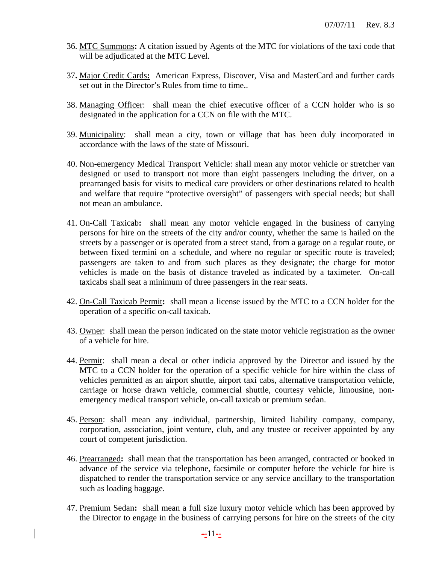- 36. MTC Summons**:** A citation issued by Agents of the MTC for violations of the taxi code that will be adjudicated at the MTC Level.
- 37**.** Major Credit Cards**:** American Express, Discover, Visa and MasterCard and further cards set out in the Director's Rules from time to time..
- 38. Managing Officer: shall mean the chief executive officer of a CCN holder who is so designated in the application for a CCN on file with the MTC.
- 39. Municipality:shall mean a city, town or village that has been duly incorporated in accordance with the laws of the state of Missouri.
- 40. Non-emergency Medical Transport Vehicle: shall mean any motor vehicle or stretcher van designed or used to transport not more than eight passengers including the driver, on a prearranged basis for visits to medical care providers or other destinations related to health and welfare that require "protective oversight" of passengers with special needs; but shall not mean an ambulance.
- 41. On-Call Taxicab**:** shall mean any motor vehicle engaged in the business of carrying persons for hire on the streets of the city and/or county, whether the same is hailed on the streets by a passenger or is operated from a street stand, from a garage on a regular route, or between fixed termini on a schedule, and where no regular or specific route is traveled; passengers are taken to and from such places as they designate; the charge for motor vehicles is made on the basis of distance traveled as indicated by a taximeter. On-call taxicabs shall seat a minimum of three passengers in the rear seats.
- 42. On-Call Taxicab Permit**:** shall mean a license issued by the MTC to a CCN holder for the operation of a specific on-call taxicab.
- 43. Owner: shall mean the person indicated on the state motor vehicle registration as the owner of a vehicle for hire.
- 44. Permit: shall mean a decal or other indicia approved by the Director and issued by the MTC to a CCN holder for the operation of a specific vehicle for hire within the class of vehicles permitted as an airport shuttle, airport taxi cabs, alternative transportation vehicle, carriage or horse drawn vehicle, commercial shuttle, courtesy vehicle, limousine, nonemergency medical transport vehicle, on-call taxicab or premium sedan.
- 45. Person: shall mean any individual, partnership, limited liability company, company, corporation, association, joint venture, club, and any trustee or receiver appointed by any court of competent jurisdiction.
- 46. Prearranged**:** shall mean that the transportation has been arranged, contracted or booked in advance of the service via telephone, facsimile or computer before the vehicle for hire is dispatched to render the transportation service or any service ancillary to the transportation such as loading baggage.
- 47. Premium Sedan**:** shall mean a full size luxury motor vehicle which has been approved by the Director to engage in the business of carrying persons for hire on the streets of the city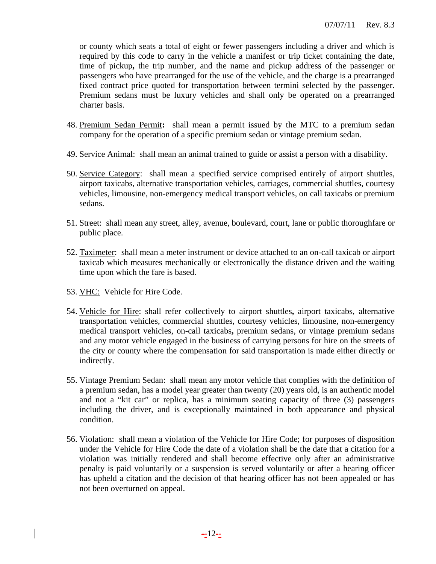or county which seats a total of eight or fewer passengers including a driver and which is required by this code to carry in the vehicle a manifest or trip ticket containing the date, time of pickup**,** the trip number, and the name and pickup address of the passenger or passengers who have prearranged for the use of the vehicle, and the charge is a prearranged fixed contract price quoted for transportation between termini selected by the passenger. Premium sedans must be luxury vehicles and shall only be operated on a prearranged charter basis.

- 48. Premium Sedan Permit**:** shall mean a permit issued by the MTC to a premium sedan company for the operation of a specific premium sedan or vintage premium sedan.
- 49. Service Animal: shall mean an animal trained to guide or assist a person with a disability.
- 50. Service Category: shall mean a specified service comprised entirely of airport shuttles, airport taxicabs, alternative transportation vehicles, carriages, commercial shuttles, courtesy vehicles, limousine, non-emergency medical transport vehicles, on call taxicabs or premium sedans.
- 51. Street: shall mean any street, alley, avenue, boulevard, court, lane or public thoroughfare or public place.
- 52. Taximeter: shall mean a meter instrument or device attached to an on-call taxicab or airport taxicab which measures mechanically or electronically the distance driven and the waiting time upon which the fare is based.
- 53. VHC: Vehicle for Hire Code.
- 54. Vehicle for Hire: shall refer collectively to airport shuttles**,** airport taxicabs, alternative transportation vehicles, commercial shuttles, courtesy vehicles, limousine, non-emergency medical transport vehicles, on-call taxicabs**,** premium sedans, or vintage premium sedans and any motor vehicle engaged in the business of carrying persons for hire on the streets of the city or county where the compensation for said transportation is made either directly or indirectly.
- 55. Vintage Premium Sedan: shall mean any motor vehicle that complies with the definition of a premium sedan, has a model year greater than twenty (20) years old, is an authentic model and not a "kit car" or replica, has a minimum seating capacity of three (3) passengers including the driver, and is exceptionally maintained in both appearance and physical condition.
- 56. Violation: shall mean a violation of the Vehicle for Hire Code; for purposes of disposition under the Vehicle for Hire Code the date of a violation shall be the date that a citation for a violation was initially rendered and shall become effective only after an administrative penalty is paid voluntarily or a suspension is served voluntarily or after a hearing officer has upheld a citation and the decision of that hearing officer has not been appealed or has not been overturned on appeal.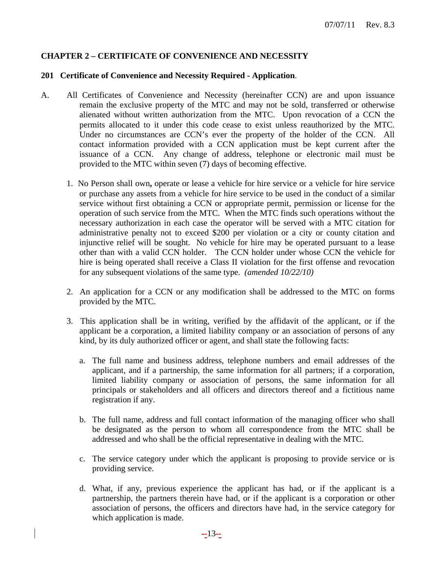## **CHAPTER 2 – CERTIFICATE OF CONVENIENCE AND NECESSITY**

### **201 Certificate of Convenience and Necessity Required - Application**.

- A. All Certificates of Convenience and Necessity (hereinafter CCN) are and upon issuance remain the exclusive property of the MTC and may not be sold, transferred or otherwise alienated without written authorization from the MTC. Upon revocation of a CCN the permits allocated to it under this code cease to exist unless reauthorized by the MTC. Under no circumstances are CCN's ever the property of the holder of the CCN. All contact information provided with a CCN application must be kept current after the issuance of a CCN. Any change of address, telephone or electronic mail must be provided to the MTC within seven (7) days of becoming effective.
	- 1. No Person shall own**,** operate or lease a vehicle for hire service or a vehicle for hire service or purchase any assets from a vehicle for hire service to be used in the conduct of a similar service without first obtaining a CCN or appropriate permit, permission or license for the operation of such service from the MTC. When the MTC finds such operations without the necessary authorization in each case the operator will be served with a MTC citation for administrative penalty not to exceed \$200 per violation or a city or county citation and injunctive relief will be sought.No vehicle for hire may be operated pursuant to a lease other than with a valid CCN holder.The CCN holder under whose CCN the vehicle for hire is being operated shall receive a Class II violation for the first offense and revocation for any subsequent violations of the same type. *(amended 10/22/10)*
	- 2. An application for a CCN or any modification shall be addressed to the MTC on forms provided by the MTC.
	- 3. This application shall be in writing, verified by the affidavit of the applicant, or if the applicant be a corporation, a limited liability company or an association of persons of any kind, by its duly authorized officer or agent, and shall state the following facts:
		- a. The full name and business address, telephone numbers and email addresses of the applicant, and if a partnership, the same information for all partners; if a corporation, limited liability company or association of persons, the same information for all principals or stakeholders and all officers and directors thereof and a fictitious name registration if any.
		- b. The full name, address and full contact information of the managing officer who shall be designated as the person to whom all correspondence from the MTC shall be addressed and who shall be the official representative in dealing with the MTC.
		- c. The service category under which the applicant is proposing to provide service or is providing service.
		- d. What, if any, previous experience the applicant has had, or if the applicant is a partnership, the partners therein have had, or if the applicant is a corporation or other association of persons, the officers and directors have had, in the service category for which application is made.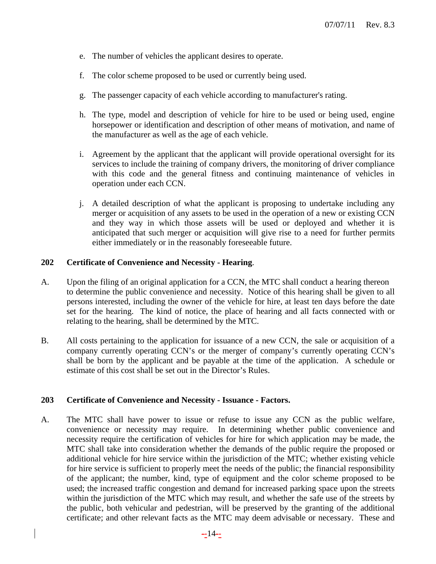- e. The number of vehicles the applicant desires to operate.
- f. The color scheme proposed to be used or currently being used.
- g. The passenger capacity of each vehicle according to manufacturer's rating.
- h. The type, model and description of vehicle for hire to be used or being used, engine horsepower or identification and description of other means of motivation, and name of the manufacturer as well as the age of each vehicle.
- i.Agreement by the applicant that the applicant will provide operational oversight for its services to include the training of company drivers, the monitoring of driver compliance with this code and the general fitness and continuing maintenance of vehicles in operation under each CCN.
- j. A detailed description of what the applicant is proposing to undertake including any merger or acquisition of any assets to be used in the operation of a new or existing CCN and they way in which those assets will be used or deployed and whether it is anticipated that such merger or acquisition will give rise to a need for further permits either immediately or in the reasonably foreseeable future.

## **202 Certificate of Convenience and Necessity - Hearing**.

- A. Upon the filing of an original application for a CCN, the MTC shall conduct a hearing thereon to determine the public convenience and necessity. Notice of this hearing shall be given to all persons interested, including the owner of the vehicle for hire, at least ten days before the date set for the hearing. The kind of notice, the place of hearing and all facts connected with or relating to the hearing, shall be determined by the MTC.
- B. All costs pertaining to the application for issuance of a new CCN, the sale or acquisition of a company currently operating CCN's or the merger of company's currently operating CCN's shall be born by the applicant and be payable at the time of the application. A schedule or estimate of this cost shall be set out in the Director's Rules.

## **203 Certificate of Convenience and Necessity - Issuance - Factors.**

A. The MTC shall have power to issue or refuse to issue any CCN as the public welfare, convenience or necessity may require. In determining whether public convenience and necessity require the certification of vehicles for hire for which application may be made, the MTC shall take into consideration whether the demands of the public require the proposed or additional vehicle for hire service within the jurisdiction of the MTC; whether existing vehicle for hire service is sufficient to properly meet the needs of the public; the financial responsibility of the applicant; the number, kind, type of equipment and the color scheme proposed to be used; the increased traffic congestion and demand for increased parking space upon the streets within the jurisdiction of the MTC which may result, and whether the safe use of the streets by the public, both vehicular and pedestrian, will be preserved by the granting of the additional certificate; and other relevant facts as the MTC may deem advisable or necessary. These and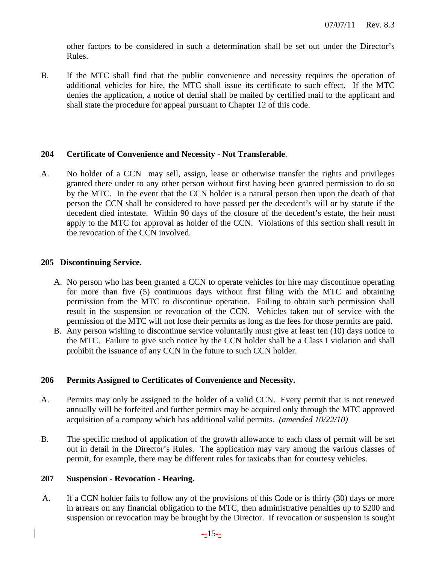other factors to be considered in such a determination shall be set out under the Director's Rules.

B. If the MTC shall find that the public convenience and necessity requires the operation of additional vehicles for hire, the MTC shall issue its certificate to such effect. If the MTC denies the application, a notice of denial shall be mailed by certified mail to the applicant and shall state the procedure for appeal pursuant to Chapter 12 of this code.

## **204 Certificate of Convenience and Necessity - Not Transferable**.

A. No holder of a CCN may sell, assign, lease or otherwise transfer the rights and privileges granted there under to any other person without first having been granted permission to do so by the MTC. In the event that the CCN holder is a natural person then upon the death of that person the CCN shall be considered to have passed per the decedent's will or by statute if the decedent died intestate. Within 90 days of the closure of the decedent's estate, the heir must apply to the MTC for approval as holder of the CCN. Violations of this section shall result in the revocation of the CCN involved.

## **205 Discontinuing Service.**

- A. No person who has been granted a CCN to operate vehicles for hire may discontinue operating for more than five (5) continuous days without first filing with the MTC and obtaining permission from the MTC to discontinue operation. Failing to obtain such permission shall result in the suspension or revocation of the CCN. Vehicles taken out of service with the permission of the MTC will not lose their permits as long as the fees for those permits are paid.
- B. Any person wishing to discontinue service voluntarily must give at least ten (10) days notice to the MTC. Failure to give such notice by the CCN holder shall be a Class I violation and shall prohibit the issuance of any CCN in the future to such CCN holder.

## **206 Permits Assigned to Certificates of Convenience and Necessity.**

- A. Permits may only be assigned to the holder of a valid CCN. Every permit that is not renewed annually will be forfeited and further permits may be acquired only through the MTC approved acquisition of a company which has additional valid permits. *(amended 10/22/10)*
- B. The specific method of application of the growth allowance to each class of permit will be set out in detail in the Director's Rules. The application may vary among the various classes of permit, for example, there may be different rules for taxicabs than for courtesy vehicles.

## **207 Suspension - Revocation - Hearing.**

A. If a CCN holder fails to follow any of the provisions of this Code or is thirty (30) days or more in arrears on any financial obligation to the MTC, then administrative penalties up to \$200 and suspension or revocation may be brought by the Director. If revocation or suspension is sought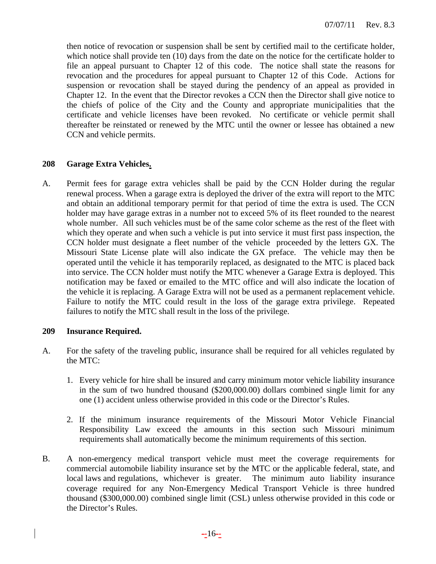then notice of revocation or suspension shall be sent by certified mail to the certificate holder, which notice shall provide ten (10) days from the date on the notice for the certificate holder to file an appeal pursuant to Chapter 12 of this code. The notice shall state the reasons for revocation and the procedures for appeal pursuant to Chapter 12 of this Code. Actions for suspension or revocation shall be stayed during the pendency of an appeal as provided in Chapter 12. In the event that the Director revokes a CCN then the Director shall give notice to the chiefs of police of the City and the County and appropriate municipalities that the certificate and vehicle licenses have been revoked. No certificate or vehicle permit shall thereafter be reinstated or renewed by the MTC until the owner or lessee has obtained a new CCN and vehicle permits.

## **208 Garage Extra Vehicles.**

A. Permit fees for garage extra vehicles shall be paid by the CCN Holder during the regular renewal process. When a garage extra is deployed the driver of the extra will report to the MTC and obtain an additional temporary permit for that period of time the extra is used. The CCN holder may have garage extras in a number not to exceed 5% of its fleet rounded to the nearest whole number. All such vehicles must be of the same color scheme as the rest of the fleet with which they operate and when such a vehicle is put into service it must first pass inspection, the CCN holder must designate a fleet number of the vehicle proceeded by the letters GX. The Missouri State License plate will also indicate the GX preface. The vehicle may then be operated until the vehicle it has temporarily replaced, as designated to the MTC is placed back into service. The CCN holder must notify the MTC whenever a Garage Extra is deployed. This notification may be faxed or emailed to the MTC office and will also indicate the location of the vehicle it is replacing. A Garage Extra will not be used as a permanent replacement vehicle. Failure to notify the MTC could result in the loss of the garage extra privilege. Repeated failures to notify the MTC shall result in the loss of the privilege.

## **209 Insurance Required.**

- A. For the safety of the traveling public, insurance shall be required for all vehicles regulated by the MTC:
	- 1. Every vehicle for hire shall be insured and carry minimum motor vehicle liability insurance in the sum of two hundred thousand (\$200,000.00) dollars combined single limit for any one (1) accident unless otherwise provided in this code or the Director's Rules.
	- 2. If the minimum insurance requirements of the Missouri Motor Vehicle Financial Responsibility Law exceed the amounts in this section such Missouri minimum requirements shall automatically become the minimum requirements of this section.
- B. A non-emergency medical transport vehicle must meet the coverage requirements for commercial automobile liability insurance set by the MTC or the applicable federal, state, and local laws and regulations, whichever is greater. The minimum auto liability insurance coverage required for any Non-Emergency Medical Transport Vehicle is three hundred thousand (\$300,000.00) combined single limit (CSL) unless otherwise provided in this code or the Director's Rules.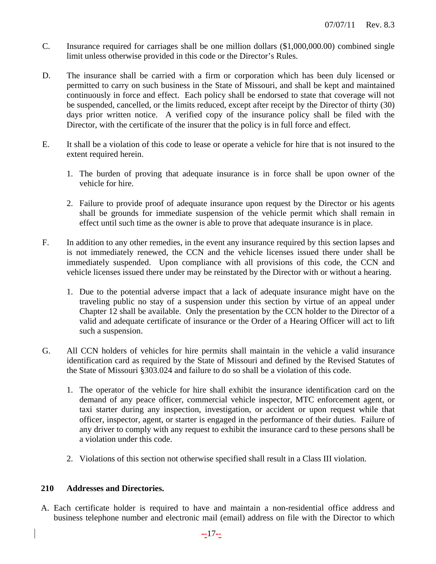- C. Insurance required for carriages shall be one million dollars (\$1,000,000.00) combined single limit unless otherwise provided in this code or the Director's Rules.
- D. The insurance shall be carried with a firm or corporation which has been duly licensed or permitted to carry on such business in the State of Missouri, and shall be kept and maintained continuously in force and effect. Each policy shall be endorsed to state that coverage will not be suspended, cancelled, or the limits reduced, except after receipt by the Director of thirty (30) days prior written notice. A verified copy of the insurance policy shall be filed with the Director, with the certificate of the insurer that the policy is in full force and effect.
- E. It shall be a violation of this code to lease or operate a vehicle for hire that is not insured to the extent required herein.
	- 1. The burden of proving that adequate insurance is in force shall be upon owner of the vehicle for hire.
	- 2. Failure to provide proof of adequate insurance upon request by the Director or his agents shall be grounds for immediate suspension of the vehicle permit which shall remain in effect until such time as the owner is able to prove that adequate insurance is in place.
- F. In addition to any other remedies, in the event any insurance required by this section lapses and is not immediately renewed, the CCN and the vehicle licenses issued there under shall be immediately suspended. Upon compliance with all provisions of this code, the CCN and vehicle licenses issued there under may be reinstated by the Director with or without a hearing.
	- 1. Due to the potential adverse impact that a lack of adequate insurance might have on the traveling public no stay of a suspension under this section by virtue of an appeal under Chapter 12 shall be available. Only the presentation by the CCN holder to the Director of a valid and adequate certificate of insurance or the Order of a Hearing Officer will act to lift such a suspension.
- G. All CCN holders of vehicles for hire permits shall maintain in the vehicle a valid insurance identification card as required by the State of Missouri and defined by the Revised Statutes of the State of Missouri §303.024 and failure to do so shall be a violation of this code.
	- 1. The operator of the vehicle for hire shall exhibit the insurance identification card on the demand of any peace officer, commercial vehicle inspector, MTC enforcement agent, or taxi starter during any inspection, investigation, or accident or upon request while that officer, inspector, agent, or starter is engaged in the performance of their duties. Failure of any driver to comply with any request to exhibit the insurance card to these persons shall be a violation under this code.
	- 2. Violations of this section not otherwise specified shall result in a Class III violation.

## **210 Addresses and Directories.**

A. Each certificate holder is required to have and maintain a non-residential office address and business telephone number and electronic mail (email) address on file with the Director to which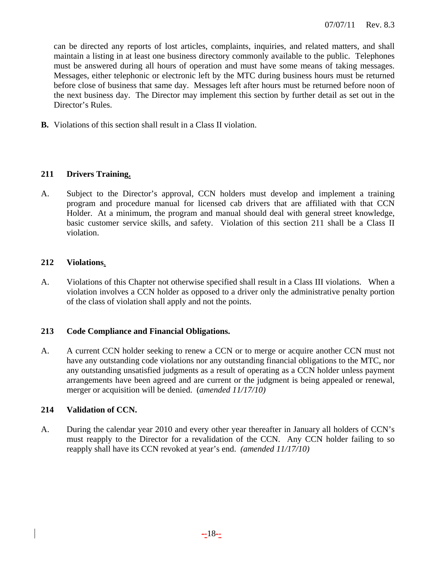can be directed any reports of lost articles, complaints, inquiries, and related matters, and shall maintain a listing in at least one business directory commonly available to the public. Telephones must be answered during all hours of operation and must have some means of taking messages. Messages, either telephonic or electronic left by the MTC during business hours must be returned before close of business that same day. Messages left after hours must be returned before noon of the next business day. The Director may implement this section by further detail as set out in the Director's Rules.

**B.** Violations of this section shall result in a Class II violation.

## **211 Drivers Training.**

A. Subject to the Director's approval, CCN holders must develop and implement a training program and procedure manual for licensed cab drivers that are affiliated with that CCN Holder. At a minimum, the program and manual should deal with general street knowledge, basic customer service skills, and safety. Violation of this section 211 shall be a Class II violation.

## **212 Violations**.

A. Violations of this Chapter not otherwise specified shall result in a Class III violations. When a violation involves a CCN holder as opposed to a driver only the administrative penalty portion of the class of violation shall apply and not the points.

## **213 Code Compliance and Financial Obligations.**

A. A current CCN holder seeking to renew a CCN or to merge or acquire another CCN must not have any outstanding code violations nor any outstanding financial obligations to the MTC, nor any outstanding unsatisfied judgments as a result of operating as a CCN holder unless payment arrangements have been agreed and are current or the judgment is being appealed or renewal, merger or acquisition will be denied. (*amended 11/17/10)*

## **214 Validation of CCN.**

A. During the calendar year 2010 and every other year thereafter in January all holders of CCN's must reapply to the Director for a revalidation of the CCN. Any CCN holder failing to so reapply shall have its CCN revoked at year's end. *(amended 11/17/10)*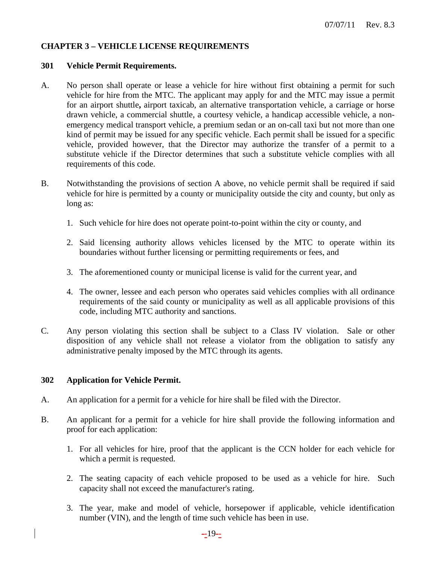## **CHAPTER 3 – VEHICLE LICENSE REQUIREMENTS**

#### **301 Vehicle Permit Requirements.**

- A. No person shall operate or lease a vehicle for hire without first obtaining a permit for such vehicle for hire from the MTC. The applicant may apply for and the MTC may issue a permit for an airport shuttle**,** airport taxicab, an alternative transportation vehicle, a carriage or horse drawn vehicle, a commercial shuttle, a courtesy vehicle, a handicap accessible vehicle, a nonemergency medical transport vehicle, a premium sedan or an on-call taxi but not more than one kind of permit may be issued for any specific vehicle. Each permit shall be issued for a specific vehicle, provided however, that the Director may authorize the transfer of a permit to a substitute vehicle if the Director determines that such a substitute vehicle complies with all requirements of this code.
- B. Notwithstanding the provisions of section A above, no vehicle permit shall be required if said vehicle for hire is permitted by a county or municipality outside the city and county, but only as long as:
	- 1. Such vehicle for hire does not operate point-to-point within the city or county, and
	- 2. Said licensing authority allows vehicles licensed by the MTC to operate within its boundaries without further licensing or permitting requirements or fees, and
	- 3. The aforementioned county or municipal license is valid for the current year, and
	- 4. The owner, lessee and each person who operates said vehicles complies with all ordinance requirements of the said county or municipality as well as all applicable provisions of this code, including MTC authority and sanctions.
- C. Any person violating this section shall be subject to a Class IV violation. Sale or other disposition of any vehicle shall not release a violator from the obligation to satisfy any administrative penalty imposed by the MTC through its agents.

## **302 Application for Vehicle Permit.**

- A. An application for a permit for a vehicle for hire shall be filed with the Director.
- B. An applicant for a permit for a vehicle for hire shall provide the following information and proof for each application:
	- 1. For all vehicles for hire, proof that the applicant is the CCN holder for each vehicle for which a permit is requested.
	- 2. The seating capacity of each vehicle proposed to be used as a vehicle for hire. Such capacity shall not exceed the manufacturer's rating.
	- 3. The year, make and model of vehicle, horsepower if applicable, vehicle identification number (VIN), and the length of time such vehicle has been in use.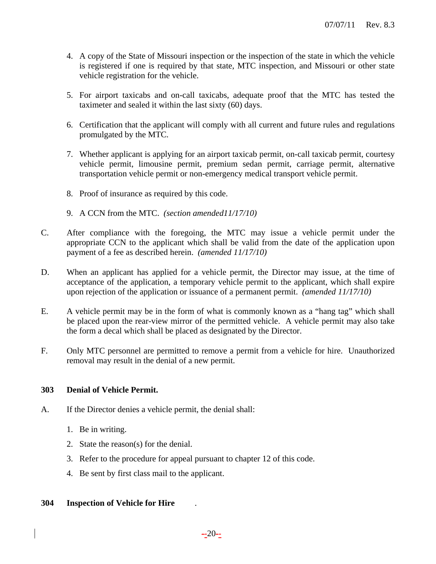- 4. A copy of the State of Missouri inspection or the inspection of the state in which the vehicle is registered if one is required by that state, MTC inspection, and Missouri or other state vehicle registration for the vehicle.
- 5. For airport taxicabs and on-call taxicabs, adequate proof that the MTC has tested the taximeter and sealed it within the last sixty (60) days.
- 6. Certification that the applicant will comply with all current and future rules and regulations promulgated by the MTC.
- 7. Whether applicant is applying for an airport taxicab permit, on-call taxicab permit, courtesy vehicle permit, limousine permit, premium sedan permit, carriage permit, alternative transportation vehicle permit or non-emergency medical transport vehicle permit.
- 8. Proof of insurance as required by this code.
- 9. A CCN from the MTC. *(section amended11/17/10)*
- C. After compliance with the foregoing, the MTC may issue a vehicle permit under the appropriate CCN to the applicant which shall be valid from the date of the application upon payment of a fee as described herein. *(amended 11/17/10)*
- D. When an applicant has applied for a vehicle permit, the Director may issue, at the time of acceptance of the application, a temporary vehicle permit to the applicant, which shall expire upon rejection of the application or issuance of a permanent permit. *(amended 11/17/10)*
- E. A vehicle permit may be in the form of what is commonly known as a "hang tag" which shall be placed upon the rear-view mirror of the permitted vehicle. A vehicle permit may also take the form a decal which shall be placed as designated by the Director.
- F. Only MTC personnel are permitted to remove a permit from a vehicle for hire. Unauthorized removal may result in the denial of a new permit.

## **303 Denial of Vehicle Permit.**

- A. If the Director denies a vehicle permit, the denial shall:
	- 1. Be in writing.
	- 2. State the reason(s) for the denial.
	- 3. Refer to the procedure for appeal pursuant to chapter 12 of this code.
	- 4. Be sent by first class mail to the applicant.

## **304 Inspection of Vehicle for Hire** .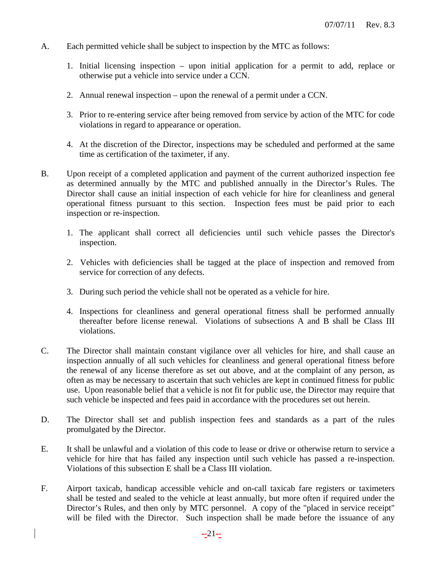- A. Each permitted vehicle shall be subject to inspection by the MTC as follows:
	- 1. Initial licensing inspection upon initial application for a permit to add, replace or otherwise put a vehicle into service under a CCN.
	- 2. Annual renewal inspection upon the renewal of a permit under a CCN.
	- 3. Prior to re-entering service after being removed from service by action of the MTC for code violations in regard to appearance or operation.
	- 4. At the discretion of the Director, inspections may be scheduled and performed at the same time as certification of the taximeter, if any.
- B. Upon receipt of a completed application and payment of the current authorized inspection fee as determined annually by the MTC and published annually in the Director's Rules. The Director shall cause an initial inspection of each vehicle for hire for cleanliness and general operational fitness pursuant to this section. Inspection fees must be paid prior to each inspection or re-inspection.
	- 1. The applicant shall correct all deficiencies until such vehicle passes the Director's inspection.
	- 2. Vehicles with deficiencies shall be tagged at the place of inspection and removed from service for correction of any defects.
	- 3. During such period the vehicle shall not be operated as a vehicle for hire.
	- 4. Inspections for cleanliness and general operational fitness shall be performed annually thereafter before license renewal. Violations of subsections A and B shall be Class III violations.
- C. The Director shall maintain constant vigilance over all vehicles for hire, and shall cause an inspection annually of all such vehicles for cleanliness and general operational fitness before the renewal of any license therefore as set out above, and at the complaint of any person, as often as may be necessary to ascertain that such vehicles are kept in continued fitness for public use. Upon reasonable belief that a vehicle is not fit for public use, the Director may require that such vehicle be inspected and fees paid in accordance with the procedures set out herein.
- D. The Director shall set and publish inspection fees and standards as a part of the rules promulgated by the Director.
- E. It shall be unlawful and a violation of this code to lease or drive or otherwise return to service a vehicle for hire that has failed any inspection until such vehicle has passed a re-inspection. Violations of this subsection E shall be a Class III violation.
- F. Airport taxicab, handicap accessible vehicle and on-call taxicab fare registers or taximeters shall be tested and sealed to the vehicle at least annually, but more often if required under the Director's Rules, and then only by MTC personnel.A copy of the "placed in service receipt" will be filed with the Director. Such inspection shall be made before the issuance of any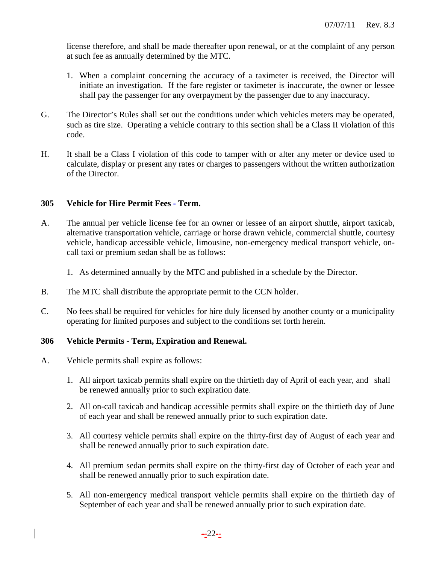license therefore, and shall be made thereafter upon renewal, or at the complaint of any person at such fee as annually determined by the MTC.

- 1. When a complaint concerning the accuracy of a taximeter is received, the Director will initiate an investigation. If the fare register or taximeter is inaccurate, the owner or lessee shall pay the passenger for any overpayment by the passenger due to any inaccuracy.
- G. The Director's Rules shall set out the conditions under which vehicles meters may be operated, such as tire size. Operating a vehicle contrary to this section shall be a Class II violation of this code.
- H. It shall be a Class I violation of this code to tamper with or alter any meter or device used to calculate, display or present any rates or charges to passengers without the written authorization of the Director.

## **305 Vehicle for Hire Permit Fees - Term.**

- A. The annual per vehicle license fee for an owner or lessee of an airport shuttle, airport taxicab, alternative transportation vehicle, carriage or horse drawn vehicle, commercial shuttle, courtesy vehicle, handicap accessible vehicle, limousine, non-emergency medical transport vehicle, oncall taxi or premium sedan shall be as follows:
	- 1. As determined annually by the MTC and published in a schedule by the Director.
- B. The MTC shall distribute the appropriate permit to the CCN holder.
- C. No fees shall be required for vehicles for hire duly licensed by another county or a municipality operating for limited purposes and subject to the conditions set forth herein.

## **306 Vehicle Permits - Term, Expiration and Renewal.**

- A. Vehicle permits shall expire as follows:
	- 1. All airport taxicab permits shall expire on the thirtieth day of April of each year, and shall be renewed annually prior to such expiration date.
	- 2. All on-call taxicab and handicap accessible permits shall expire on the thirtieth day of June of each year and shall be renewed annually prior to such expiration date.
	- 3. All courtesy vehicle permits shall expire on the thirty-first day of August of each year and shall be renewed annually prior to such expiration date.
	- 4. All premium sedan permits shall expire on the thirty-first day of October of each year and shall be renewed annually prior to such expiration date.
	- 5. All non-emergency medical transport vehicle permits shall expire on the thirtieth day of September of each year and shall be renewed annually prior to such expiration date.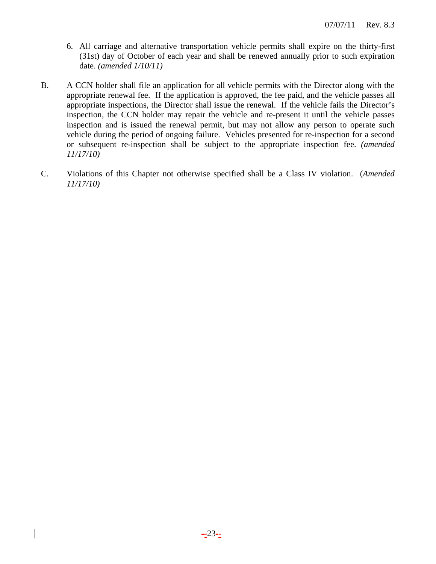- 6. All carriage and alternative transportation vehicle permits shall expire on the thirty-first (31st) day of October of each year and shall be renewed annually prior to such expiration date. *(amended 1/10/11)*
- B. A CCN holder shall file an application for all vehicle permits with the Director along with the appropriate renewal fee. If the application is approved, the fee paid, and the vehicle passes all appropriate inspections, the Director shall issue the renewal. If the vehicle fails the Director's inspection, the CCN holder may repair the vehicle and re-present it until the vehicle passes inspection and is issued the renewal permit, but may not allow any person to operate such vehicle during the period of ongoing failure. Vehicles presented for re-inspection for a second or subsequent re-inspection shall be subject to the appropriate inspection fee. *(amended 11/17/10)*
- C. Violations of this Chapter not otherwise specified shall be a Class IV violation. (*Amended 11/17/10)*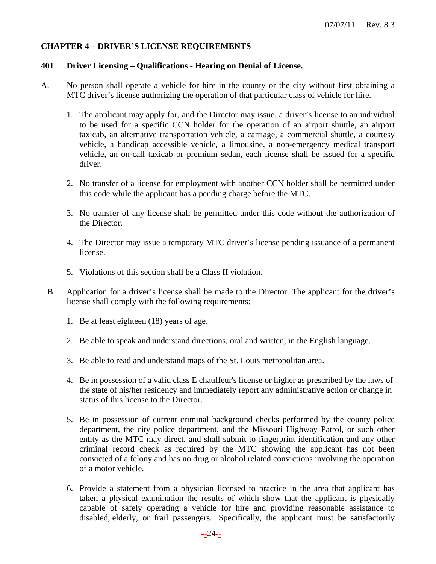## **CHAPTER 4 – DRIVER'S LICENSE REQUIREMENTS**

#### **401 Driver Licensing – Qualifications - Hearing on Denial of License.**

- A. No person shall operate a vehicle for hire in the county or the city without first obtaining a MTC driver's license authorizing the operation of that particular class of vehicle for hire.
	- 1. The applicant may apply for, and the Director may issue, a driver's license to an individual to be used for a specific CCN holder for the operation of an airport shuttle, an airport taxicab, an alternative transportation vehicle, a carriage, a commercial shuttle, a courtesy vehicle, a handicap accessible vehicle, a limousine, a non-emergency medical transport vehicle, an on-call taxicab or premium sedan, each license shall be issued for a specific driver.
	- 2. No transfer of a license for employment with another CCN holder shall be permitted under this code while the applicant has a pending charge before the MTC.
	- 3. No transfer of any license shall be permitted under this code without the authorization of the Director.
	- 4. The Director may issue a temporary MTC driver's license pending issuance of a permanent license.
	- 5. Violations of this section shall be a Class II violation.
	- B. Application for a driver's license shall be made to the Director. The applicant for the driver's license shall comply with the following requirements:
		- 1. Be at least eighteen (18) years of age.
		- 2. Be able to speak and understand directions, oral and written, in the English language.
		- 3. Be able to read and understand maps of the St. Louis metropolitan area.
		- 4. Be in possession of a valid class E chauffeur's license or higher as prescribed by the laws of the state of his/her residency and immediately report any administrative action or change in status of this license to the Director.
		- 5. Be in possession of current criminal background checks performed by the county police department, the city police department, and the Missouri Highway Patrol, or such other entity as the MTC may direct, and shall submit to fingerprint identification and any other criminal record check as required by the MTC showing the applicant has not been convicted of a felony and has no drug or alcohol related convictions involving the operation of a motor vehicle.
		- 6. Provide a statement from a physician licensed to practice in the area that applicant has taken a physical examination the results of which show that the applicant is physically capable of safely operating a vehicle for hire and providing reasonable assistance to disabled, elderly, or frail passengers. Specifically, the applicant must be satisfactorily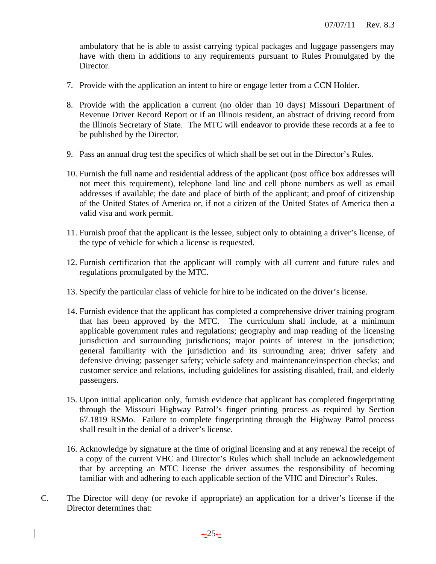ambulatory that he is able to assist carrying typical packages and luggage passengers may have with them in additions to any requirements pursuant to Rules Promulgated by the Director.

- 7. Provide with the application an intent to hire or engage letter from a CCN Holder.
- 8. Provide with the application a current (no older than 10 days) Missouri Department of Revenue Driver Record Report or if an Illinois resident, an abstract of driving record from the Illinois Secretary of State. The MTC will endeavor to provide these records at a fee to be published by the Director.
- 9. Pass an annual drug test the specifics of which shall be set out in the Director's Rules.
- 10. Furnish the full name and residential address of the applicant (post office box addresses will not meet this requirement), telephone land line and cell phone numbers as well as email addresses if available; the date and place of birth of the applicant; and proof of citizenship of the United States of America or, if not a citizen of the United States of America then a valid visa and work permit.
- 11. Furnish proof that the applicant is the lessee, subject only to obtaining a driver's license, of the type of vehicle for which a license is requested.
- 12. Furnish certification that the applicant will comply with all current and future rules and regulations promulgated by the MTC.
- 13. Specify the particular class of vehicle for hire to be indicated on the driver's license.
- 14. Furnish evidence that the applicant has completed a comprehensive driver training program that has been approved by the MTC. The curriculum shall include, at a minimum applicable government rules and regulations; geography and map reading of the licensing jurisdiction and surrounding jurisdictions; major points of interest in the jurisdiction; general familiarity with the jurisdiction and its surrounding area; driver safety and defensive driving; passenger safety; vehicle safety and maintenance/inspection checks; and customer service and relations, including guidelines for assisting disabled, frail, and elderly passengers.
- 15. Upon initial application only, furnish evidence that applicant has completed fingerprinting through the Missouri Highway Patrol's finger printing process as required by Section 67.1819 RSMo. Failure to complete fingerprinting through the Highway Patrol process shall result in the denial of a driver's license.
- 16. Acknowledge by signature at the time of original licensing and at any renewal the receipt of a copy of the current VHC and Director's Rules which shall include an acknowledgement that by accepting an MTC license the driver assumes the responsibility of becoming familiar with and adhering to each applicable section of the VHC and Director's Rules.
- C. The Director will deny (or revoke if appropriate) an application for a driver's license if the Director determines that: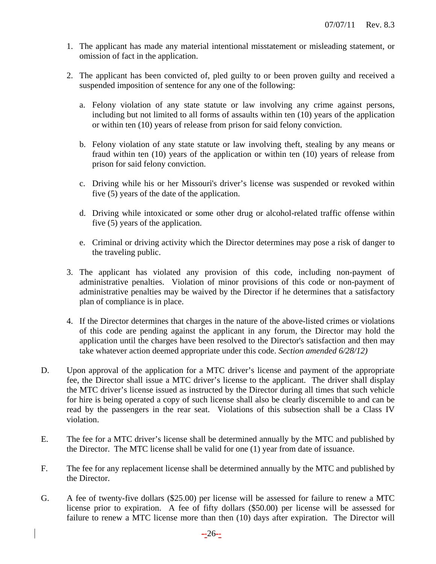- 1. The applicant has made any material intentional misstatement or misleading statement, or omission of fact in the application.
- 2. The applicant has been convicted of, pled guilty to or been proven guilty and received a suspended imposition of sentence for any one of the following:
	- a. Felony violation of any state statute or law involving any crime against persons, including but not limited to all forms of assaults within ten (10) years of the application or within ten (10) years of release from prison for said felony conviction.
	- b. Felony violation of any state statute or law involving theft, stealing by any means or fraud within ten (10) years of the application or within ten (10) years of release from prison for said felony conviction.
	- c. Driving while his or her Missouri's driver's license was suspended or revoked within five (5) years of the date of the application.
	- d. Driving while intoxicated or some other drug or alcohol-related traffic offense within five (5) years of the application.
	- e. Criminal or driving activity which the Director determines may pose a risk of danger to the traveling public.
- 3. The applicant has violated any provision of this code, including non-payment of administrative penalties. Violation of minor provisions of this code or non-payment of administrative penalties may be waived by the Director if he determines that a satisfactory plan of compliance is in place.
- 4. If the Director determines that charges in the nature of the above-listed crimes or violations of this code are pending against the applicant in any forum, the Director may hold the application until the charges have been resolved to the Director's satisfaction and then may take whatever action deemed appropriate under this code. *Section amended 6/28/12)*
- D. Upon approval of the application for a MTC driver's license and payment of the appropriate fee, the Director shall issue a MTC driver's license to the applicant. The driver shall display the MTC driver's license issued as instructed by the Director during all times that such vehicle for hire is being operated a copy of such license shall also be clearly discernible to and can be read by the passengers in the rear seat. Violations of this subsection shall be a Class IV violation.
- E. The fee for a MTC driver's license shall be determined annually by the MTC and published by the Director. The MTC license shall be valid for one (1) year from date of issuance.
- F. The fee for any replacement license shall be determined annually by the MTC and published by the Director.
- G. A fee of twenty-five dollars (\$25.00) per license will be assessed for failure to renew a MTC license prior to expiration. A fee of fifty dollars (\$50.00) per license will be assessed for failure to renew a MTC license more than then (10) days after expiration. The Director will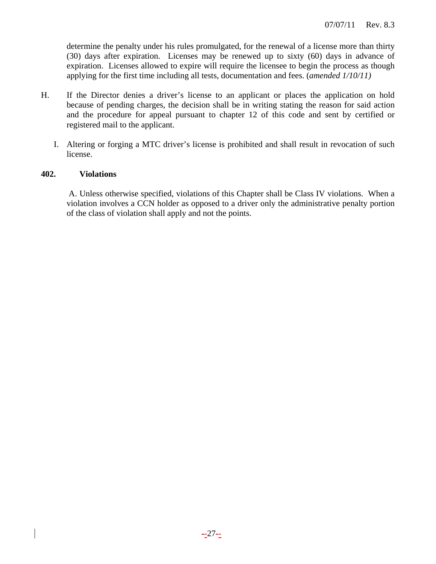determine the penalty under his rules promulgated, for the renewal of a license more than thirty (30) days after expiration. Licenses may be renewed up to sixty (60) days in advance of expiration. Licenses allowed to expire will require the licensee to begin the process as though applying for the first time including all tests, documentation and fees. (*amended 1/10/11)* 

- H. If the Director denies a driver's license to an applicant or places the application on hold because of pending charges, the decision shall be in writing stating the reason for said action and the procedure for appeal pursuant to chapter 12 of this code and sent by certified or registered mail to the applicant.
	- I. Altering or forging a MTC driver's license is prohibited and shall result in revocation of such license.

## **402. Violations**

 A. Unless otherwise specified, violations of this Chapter shall be Class IV violations. When a violation involves a CCN holder as opposed to a driver only the administrative penalty portion of the class of violation shall apply and not the points.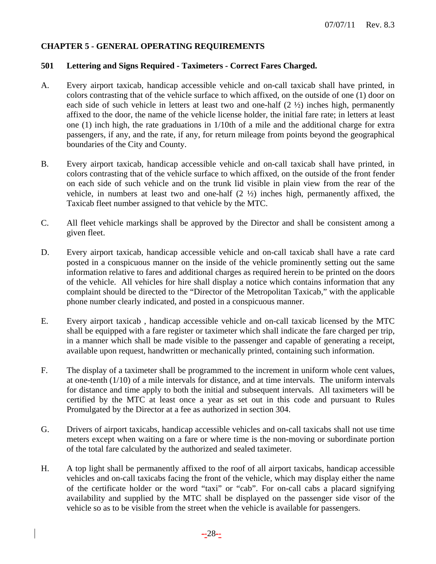## **CHAPTER 5 - GENERAL OPERATING REQUIREMENTS**

#### **501 Lettering and Signs Required - Taximeters - Correct Fares Charged.**

- A. Every airport taxicab, handicap accessible vehicle and on-call taxicab shall have printed, in colors contrasting that of the vehicle surface to which affixed, on the outside of one (1) door on each side of such vehicle in letters at least two and one-half  $(2 \frac{1}{2})$  inches high, permanently affixed to the door, the name of the vehicle license holder, the initial fare rate; in letters at least one (1) inch high, the rate graduations in 1/10th of a mile and the additional charge for extra passengers, if any, and the rate, if any, for return mileage from points beyond the geographical boundaries of the City and County.
- B. Every airport taxicab, handicap accessible vehicle and on-call taxicab shall have printed, in colors contrasting that of the vehicle surface to which affixed, on the outside of the front fender on each side of such vehicle and on the trunk lid visible in plain view from the rear of the vehicle, in numbers at least two and one-half (2 ½) inches high, permanently affixed, the Taxicab fleet number assigned to that vehicle by the MTC.
- C. All fleet vehicle markings shall be approved by the Director and shall be consistent among a given fleet.
- D. Every airport taxicab, handicap accessible vehicle and on-call taxicab shall have a rate card posted in a conspicuous manner on the inside of the vehicle prominently setting out the same information relative to fares and additional charges as required herein to be printed on the doors of the vehicle. All vehicles for hire shall display a notice which contains information that any complaint should be directed to the "Director of the Metropolitan Taxicab," with the applicable phone number clearly indicated, and posted in a conspicuous manner.
- E. Every airport taxicab , handicap accessible vehicle and on-call taxicab licensed by the MTC shall be equipped with a fare register or taximeter which shall indicate the fare charged per trip, in a manner which shall be made visible to the passenger and capable of generating a receipt, available upon request, handwritten or mechanically printed, containing such information.
- F. The display of a taximeter shall be programmed to the increment in uniform whole cent values, at one-tenth (1/10) of a mile intervals for distance, and at time intervals. The uniform intervals for distance and time apply to both the initial and subsequent intervals. All taximeters will be certified by the MTC at least once a year as set out in this code and pursuant to Rules Promulgated by the Director at a fee as authorized in section 304.
- G. Drivers of airport taxicabs, handicap accessible vehicles and on-call taxicabs shall not use time meters except when waiting on a fare or where time is the non-moving or subordinate portion of the total fare calculated by the authorized and sealed taximeter.
- H. A top light shall be permanently affixed to the roof of all airport taxicabs, handicap accessible vehicles and on-call taxicabs facing the front of the vehicle, which may display either the name of the certificate holder or the word "taxi" or "cab". For on-call cabs a placard signifying availability and supplied by the MTC shall be displayed on the passenger side visor of the vehicle so as to be visible from the street when the vehicle is available for passengers.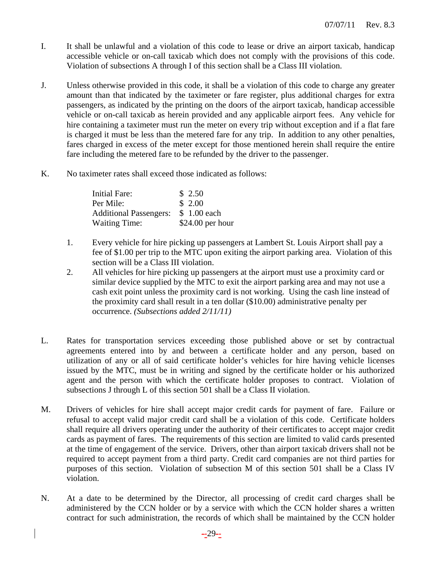- I. It shall be unlawful and a violation of this code to lease or drive an airport taxicab, handicap accessible vehicle or on-call taxicab which does not comply with the provisions of this code. Violation of subsections A through I of this section shall be a Class III violation.
- J. Unless otherwise provided in this code, it shall be a violation of this code to charge any greater amount than that indicated by the taximeter or fare register, plus additional charges for extra passengers, as indicated by the printing on the doors of the airport taxicab, handicap accessible vehicle or on-call taxicab as herein provided and any applicable airport fees. Any vehicle for hire containing a taximeter must run the meter on every trip without exception and if a flat fare is charged it must be less than the metered fare for any trip. In addition to any other penalties, fares charged in excess of the meter except for those mentioned herein shall require the entire fare including the metered fare to be refunded by the driver to the passenger.
- K. No taximeter rates shall exceed those indicated as follows:

| <b>Initial Fare:</b>          | \$2.50            |
|-------------------------------|-------------------|
| Per Mile:                     | \$2.00            |
| <b>Additional Passengers:</b> | \$1.00 each       |
| <b>Waiting Time:</b>          | $$24.00$ per hour |

- 1. Every vehicle for hire picking up passengers at Lambert St. Louis Airport shall pay a fee of \$1.00 per trip to the MTC upon exiting the airport parking area. Violation of this section will be a Class III violation.
- 2. All vehicles for hire picking up passengers at the airport must use a proximity card or similar device supplied by the MTC to exit the airport parking area and may not use a cash exit point unless the proximity card is not working. Using the cash line instead of the proximity card shall result in a ten dollar (\$10.00) administrative penalty per occurrence. *(Subsections added 2/11/11)*
- L. Rates for transportation services exceeding those published above or set by contractual agreements entered into by and between a certificate holder and any person, based on utilization of any or all of said certificate holder's vehicles for hire having vehicle licenses issued by the MTC, must be in writing and signed by the certificate holder or his authorized agent and the person with which the certificate holder proposes to contract. Violation of subsections J through L of this section 501 shall be a Class II violation.
- M. Drivers of vehicles for hire shall accept major credit cards for payment of fare. Failure or refusal to accept valid major credit card shall be a violation of this code. Certificate holders shall require all drivers operating under the authority of their certificates to accept major credit cards as payment of fares. The requirements of this section are limited to valid cards presented at the time of engagement of the service. Drivers, other than airport taxicab drivers shall not be required to accept payment from a third party. Credit card companies are not third parties for purposes of this section. Violation of subsection M of this section 501 shall be a Class IV violation.
- N. At a date to be determined by the Director, all processing of credit card charges shall be administered by the CCN holder or by a service with which the CCN holder shares a written contract for such administration, the records of which shall be maintained by the CCN holder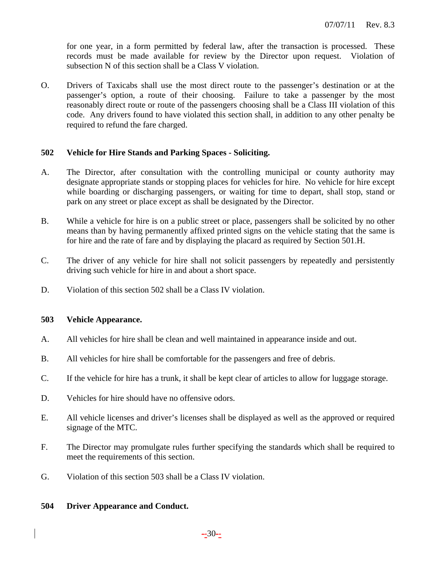for one year, in a form permitted by federal law, after the transaction is processed. These records must be made available for review by the Director upon request. Violation of subsection N of this section shall be a Class V violation.

O. Drivers of Taxicabs shall use the most direct route to the passenger's destination or at the passenger's option, a route of their choosing. Failure to take a passenger by the most reasonably direct route or route of the passengers choosing shall be a Class III violation of this code. Any drivers found to have violated this section shall, in addition to any other penalty be required to refund the fare charged.

## **502 Vehicle for Hire Stands and Parking Spaces - Soliciting.**

- A. The Director, after consultation with the controlling municipal or county authority may designate appropriate stands or stopping places for vehicles for hire. No vehicle for hire except while boarding or discharging passengers, or waiting for time to depart, shall stop, stand or park on any street or place except as shall be designated by the Director.
- B. While a vehicle for hire is on a public street or place, passengers shall be solicited by no other means than by having permanently affixed printed signs on the vehicle stating that the same is for hire and the rate of fare and by displaying the placard as required by Section 501.H.
- C. The driver of any vehicle for hire shall not solicit passengers by repeatedly and persistently driving such vehicle for hire in and about a short space.
- D. Violation of this section 502 shall be a Class IV violation.

## **503 Vehicle Appearance.**

- A. All vehicles for hire shall be clean and well maintained in appearance inside and out.
- B. All vehicles for hire shall be comfortable for the passengers and free of debris.
- C. If the vehicle for hire has a trunk, it shall be kept clear of articles to allow for luggage storage.
- D. Vehicles for hire should have no offensive odors.
- E. All vehicle licenses and driver's licenses shall be displayed as well as the approved or required signage of the MTC.
- F. The Director may promulgate rules further specifying the standards which shall be required to meet the requirements of this section.
- G. Violation of this section 503 shall be a Class IV violation.

## **504 Driver Appearance and Conduct.**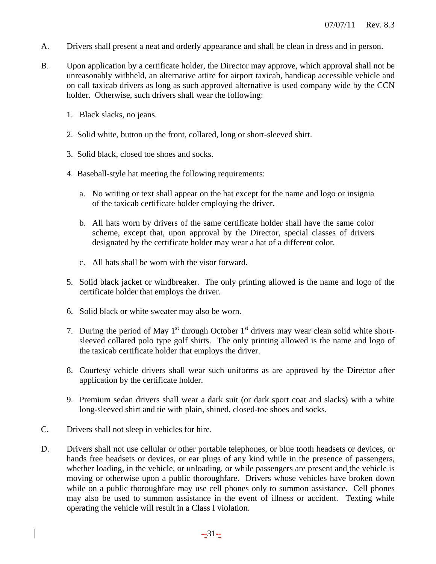- A. Drivers shall present a neat and orderly appearance and shall be clean in dress and in person.
- B. Upon application by a certificate holder, the Director may approve, which approval shall not be unreasonably withheld, an alternative attire for airport taxicab, handicap accessible vehicle and on call taxicab drivers as long as such approved alternative is used company wide by the CCN holder. Otherwise, such drivers shall wear the following:
	- 1. Black slacks, no jeans.
	- 2. Solid white, button up the front, collared, long or short-sleeved shirt.
	- 3. Solid black, closed toe shoes and socks.
	- 4. Baseball-style hat meeting the following requirements:
		- a. No writing or text shall appear on the hat except for the name and logo or insignia of the taxicab certificate holder employing the driver.
		- b. All hats worn by drivers of the same certificate holder shall have the same color scheme, except that, upon approval by the Director, special classes of drivers designated by the certificate holder may wear a hat of a different color.
		- c. All hats shall be worn with the visor forward.
	- 5. Solid black jacket or windbreaker. The only printing allowed is the name and logo of the certificate holder that employs the driver.
	- 6. Solid black or white sweater may also be worn.
	- 7. During the period of May 1<sup>st</sup> through October 1<sup>st</sup> drivers may wear clean solid white shortsleeved collared polo type golf shirts. The only printing allowed is the name and logo of the taxicab certificate holder that employs the driver.
	- 8. Courtesy vehicle drivers shall wear such uniforms as are approved by the Director after application by the certificate holder.
	- 9. Premium sedan drivers shall wear a dark suit (or dark sport coat and slacks) with a white long-sleeved shirt and tie with plain, shined, closed-toe shoes and socks.
- C. Drivers shall not sleep in vehicles for hire.
- D. Drivers shall not use cellular or other portable telephones, or blue tooth headsets or devices, or hands free headsets or devices, or ear plugs of any kind while in the presence of passengers, whether loading, in the vehicle, or unloading, or while passengers are present and the vehicle is moving or otherwise upon a public thoroughfare. Drivers whose vehicles have broken down while on a public thoroughfare may use cell phones only to summon assistance. Cell phones may also be used to summon assistance in the event of illness or accident. Texting while operating the vehicle will result in a Class I violation.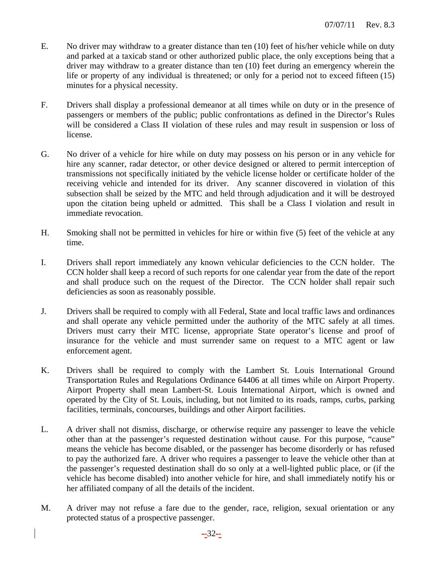- E. No driver may withdraw to a greater distance than ten (10) feet of his/her vehicle while on duty and parked at a taxicab stand or other authorized public place, the only exceptions being that a driver may withdraw to a greater distance than ten (10) feet during an emergency wherein the life or property of any individual is threatened; or only for a period not to exceed fifteen (15) minutes for a physical necessity.
- F. Drivers shall display a professional demeanor at all times while on duty or in the presence of passengers or members of the public; public confrontations as defined in the Director's Rules will be considered a Class II violation of these rules and may result in suspension or loss of license.
- G. No driver of a vehicle for hire while on duty may possess on his person or in any vehicle for hire any scanner, radar detector, or other device designed or altered to permit interception of transmissions not specifically initiated by the vehicle license holder or certificate holder of the receiving vehicle and intended for its driver.Any scanner discovered in violation of this subsection shall be seized by the MTC and held through adjudication and it will be destroyed upon the citation being upheld or admitted. This shall be a Class I violation and result in immediate revocation.
- H. Smoking shall not be permitted in vehicles for hire or within five (5) feet of the vehicle at any time.
- I. Drivers shall report immediately any known vehicular deficiencies to the CCN holder. The CCN holder shall keep a record of such reports for one calendar year from the date of the report and shall produce such on the request of the Director. The CCN holder shall repair such deficiencies as soon as reasonably possible.
- J. Drivers shall be required to comply with all Federal, State and local traffic laws and ordinances and shall operate any vehicle permitted under the authority of the MTC safely at all times. Drivers must carry their MTC license, appropriate State operator's license and proof of insurance for the vehicle and must surrender same on request to a MTC agent or law enforcement agent.
- K. Drivers shall be required to comply with the Lambert St. Louis International Ground Transportation Rules and Regulations Ordinance 64406 at all times while on Airport Property. Airport Property shall mean Lambert-St. Louis International Airport, which is owned and operated by the City of St. Louis, including, but not limited to its roads, ramps, curbs, parking facilities, terminals, concourses, buildings and other Airport facilities.
- L. A driver shall not dismiss, discharge, or otherwise require any passenger to leave the vehicle other than at the passenger's requested destination without cause. For this purpose, "cause" means the vehicle has become disabled, or the passenger has become disorderly or has refused to pay the authorized fare. A driver who requires a passenger to leave the vehicle other than at the passenger's requested destination shall do so only at a well-lighted public place, or (if the vehicle has become disabled) into another vehicle for hire, and shall immediately notify his or her affiliated company of all the details of the incident.
- M. A driver may not refuse a fare due to the gender, race, religion, sexual orientation or any protected status of a prospective passenger.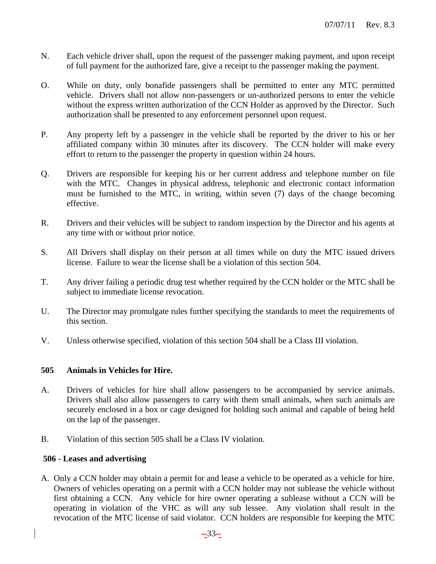- N. Each vehicle driver shall, upon the request of the passenger making payment, and upon receipt of full payment for the authorized fare, give a receipt to the passenger making the payment.
- O. While on duty, only bonafide passengers shall be permitted to enter any MTC permitted vehicle. Drivers shall not allow non-passengers or un-authorized persons to enter the vehicle without the express written authorization of the CCN Holder as approved by the Director. Such authorization shall be presented to any enforcement personnel upon request.
- P. Any property left by a passenger in the vehicle shall be reported by the driver to his or her affiliated company within 30 minutes after its discovery. The CCN holder will make every effort to return to the passenger the property in question within 24 hours.
- Q. Drivers are responsible for keeping his or her current address and telephone number on file with the MTC. Changes in physical address, telephonic and electronic contact information must be furnished to the MTC, in writing, within seven (7) days of the change becoming effective.
- R. Drivers and their vehicles will be subject to random inspection by the Director and his agents at any time with or without prior notice.
- S. All Drivers shall display on their person at all times while on duty the MTC issued drivers license. Failure to wear the license shall be a violation of this section 504.
- T. Any driver failing a periodic drug test whether required by the CCN holder or the MTC shall be subject to immediate license revocation.
- U. The Director may promulgate rules further specifying the standards to meet the requirements of this section.
- V. Unless otherwise specified, violation of this section 504 shall be a Class III violation.

### **505 Animals in Vehicles for Hire.**

- A. Drivers of vehicles for hire shall allow passengers to be accompanied by service animals. Drivers shall also allow passengers to carry with them small animals, when such animals are securely enclosed in a box or cage designed for holding such animal and capable of being held on the lap of the passenger.
- B. Violation of this section 505 shall be a Class IV violation.

## **506 - Leases and advertising**

A. Only a CCN holder may obtain a permit for and lease a vehicle to be operated as a vehicle for hire. Owners of vehicles operating on a permit with a CCN holder may not sublease the vehicle without first obtaining a CCN. Any vehicle for hire owner operating a sublease without a CCN will be operating in violation of the VHC as will any sub lessee. Any violation shall result in the revocation of the MTC license of said violator. CCN holders are responsible for keeping the MTC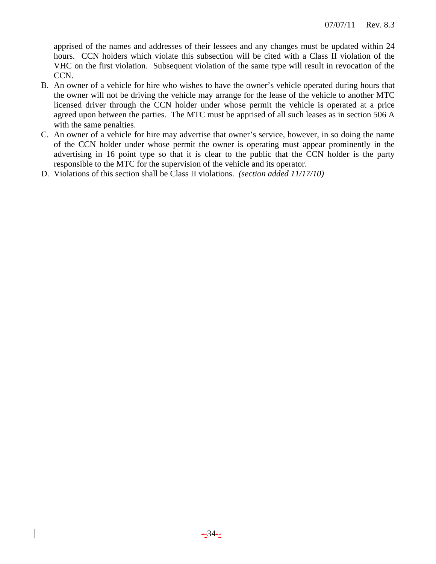apprised of the names and addresses of their lessees and any changes must be updated within 24 hours. CCN holders which violate this subsection will be cited with a Class II violation of the VHC on the first violation. Subsequent violation of the same type will result in revocation of the CCN.

- B. An owner of a vehicle for hire who wishes to have the owner's vehicle operated during hours that the owner will not be driving the vehicle may arrange for the lease of the vehicle to another MTC licensed driver through the CCN holder under whose permit the vehicle is operated at a price agreed upon between the parties. The MTC must be apprised of all such leases as in section 506 A with the same penalties.
- C. An owner of a vehicle for hire may advertise that owner's service, however, in so doing the name of the CCN holder under whose permit the owner is operating must appear prominently in the advertising in 16 point type so that it is clear to the public that the CCN holder is the party responsible to the MTC for the supervision of the vehicle and its operator.
- D. Violations of this section shall be Class II violations. *(section added 11/17/10)*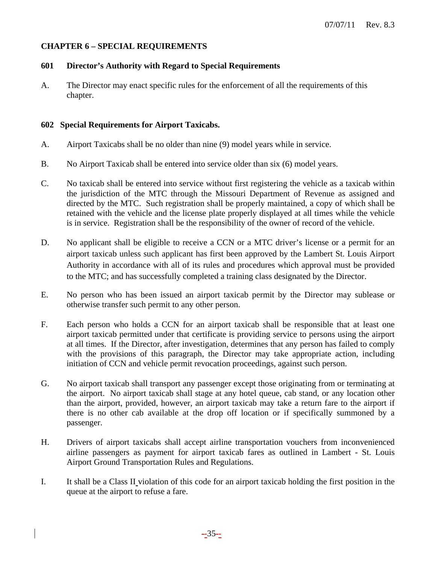## **CHAPTER 6 – SPECIAL REQUIREMENTS**

## **601 Director's Authority with Regard to Special Requirements**

A. The Director may enact specific rules for the enforcement of all the requirements of this chapter.

## **602 Special Requirements for Airport Taxicabs.**

- A. Airport Taxicabs shall be no older than nine (9) model years while in service.
- B. No Airport Taxicab shall be entered into service older than six (6) model years.
- C. No taxicab shall be entered into service without first registering the vehicle as a taxicab within the jurisdiction of the MTC through the Missouri Department of Revenue as assigned and directed by the MTC. Such registration shall be properly maintained, a copy of which shall be retained with the vehicle and the license plate properly displayed at all times while the vehicle is in service. Registration shall be the responsibility of the owner of record of the vehicle.
- D. No applicant shall be eligible to receive a CCN or a MTC driver's license or a permit for an airport taxicab unless such applicant has first been approved by the Lambert St. Louis Airport Authority in accordance with all of its rules and procedures which approval must be provided to the MTC; and has successfully completed a training class designated by the Director.
- E. No person who has been issued an airport taxicab permit by the Director may sublease or otherwise transfer such permit to any other person.
- F. Each person who holds a CCN for an airport taxicab shall be responsible that at least one airport taxicab permitted under that certificate is providing service to persons using the airport at all times. If the Director, after investigation, determines that any person has failed to comply with the provisions of this paragraph, the Director may take appropriate action, including initiation of CCN and vehicle permit revocation proceedings, against such person.
- G. No airport taxicab shall transport any passenger except those originating from or terminating at the airport. No airport taxicab shall stage at any hotel queue, cab stand, or any location other than the airport, provided, however, an airport taxicab may take a return fare to the airport if there is no other cab available at the drop off location or if specifically summoned by a passenger.
- H. Drivers of airport taxicabs shall accept airline transportation vouchers from inconvenienced airline passengers as payment for airport taxicab fares as outlined in Lambert - St. Louis Airport Ground Transportation Rules and Regulations.
- I. It shall be a Class II violation of this code for an airport taxicab holding the first position in the queue at the airport to refuse a fare.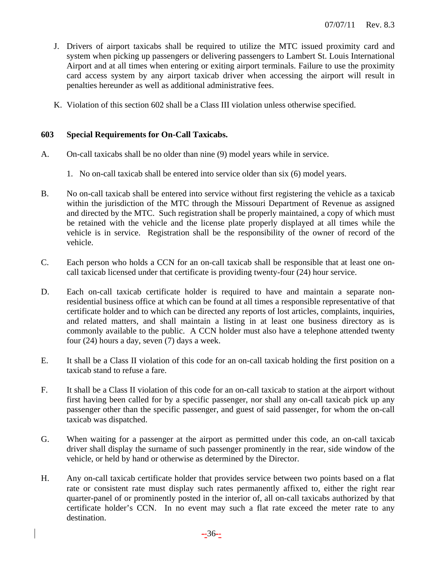- J. Drivers of airport taxicabs shall be required to utilize the MTC issued proximity card and system when picking up passengers or delivering passengers to Lambert St. Louis International Airport and at all times when entering or exiting airport terminals. Failure to use the proximity card access system by any airport taxicab driver when accessing the airport will result in penalties hereunder as well as additional administrative fees.
- K. Violation of this section 602 shall be a Class III violation unless otherwise specified.

## **603 Special Requirements for On-Call Taxicabs.**

- A. On-call taxicabs shall be no older than nine (9) model years while in service.
	- 1. No on-call taxicab shall be entered into service older than six (6) model years.
- B. No on-call taxicab shall be entered into service without first registering the vehicle as a taxicab within the jurisdiction of the MTC through the Missouri Department of Revenue as assigned and directed by the MTC. Such registration shall be properly maintained, a copy of which must be retained with the vehicle and the license plate properly displayed at all times while the vehicle is in service. Registration shall be the responsibility of the owner of record of the vehicle.
- C. Each person who holds a CCN for an on-call taxicab shall be responsible that at least one oncall taxicab licensed under that certificate is providing twenty-four (24) hour service.
- D. Each on-call taxicab certificate holder is required to have and maintain a separate nonresidential business office at which can be found at all times a responsible representative of that certificate holder and to which can be directed any reports of lost articles, complaints, inquiries, and related matters, and shall maintain a listing in at least one business directory as is commonly available to the public. A CCN holder must also have a telephone attended twenty four (24) hours a day, seven (7) days a week.
- E. It shall be a Class II violation of this code for an on-call taxicab holding the first position on a taxicab stand to refuse a fare.
- F. It shall be a Class II violation of this code for an on-call taxicab to station at the airport without first having been called for by a specific passenger, nor shall any on-call taxicab pick up any passenger other than the specific passenger, and guest of said passenger, for whom the on-call taxicab was dispatched.
- G. When waiting for a passenger at the airport as permitted under this code, an on-call taxicab driver shall display the surname of such passenger prominently in the rear, side window of the vehicle, or held by hand or otherwise as determined by the Director.
- H. Any on-call taxicab certificate holder that provides service between two points based on a flat rate or consistent rate must display such rates permanently affixed to, either the right rear quarter-panel of or prominently posted in the interior of, all on-call taxicabs authorized by that certificate holder's CCN. In no event may such a flat rate exceed the meter rate to any destination.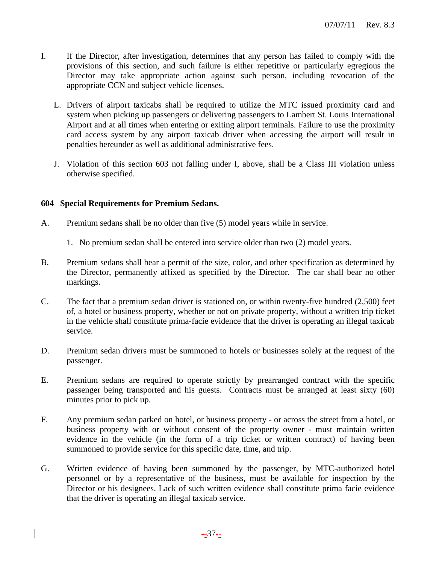- I. If the Director, after investigation, determines that any person has failed to comply with the provisions of this section, and such failure is either repetitive or particularly egregious the Director may take appropriate action against such person, including revocation of the appropriate CCN and subject vehicle licenses.
	- L. Drivers of airport taxicabs shall be required to utilize the MTC issued proximity card and system when picking up passengers or delivering passengers to Lambert St. Louis International Airport and at all times when entering or exiting airport terminals. Failure to use the proximity card access system by any airport taxicab driver when accessing the airport will result in penalties hereunder as well as additional administrative fees.
	- J. Violation of this section 603 not falling under I, above, shall be a Class III violation unless otherwise specified.

#### **604 Special Requirements for Premium Sedans.**

- A. Premium sedans shall be no older than five (5) model years while in service.
	- 1. No premium sedan shall be entered into service older than two (2) model years.
- B. Premium sedans shall bear a permit of the size, color, and other specification as determined by the Director, permanently affixed as specified by the Director. The car shall bear no other markings.
- C. The fact that a premium sedan driver is stationed on, or within twenty-five hundred (2,500) feet of, a hotel or business property, whether or not on private property, without a written trip ticket in the vehicle shall constitute prima-facie evidence that the driver is operating an illegal taxicab service.
- D. Premium sedan drivers must be summoned to hotels or businesses solely at the request of the passenger.
- E. Premium sedans are required to operate strictly by prearranged contract with the specific passenger being transported and his guests. Contracts must be arranged at least sixty (60) minutes prior to pick up.
- F. Any premium sedan parked on hotel, or business property or across the street from a hotel, or business property with or without consent of the property owner - must maintain written evidence in the vehicle (in the form of a trip ticket or written contract) of having been summoned to provide service for this specific date, time, and trip.
- G. Written evidence of having been summoned by the passenger, by MTC-authorized hotel personnel or by a representative of the business, must be available for inspection by the Director or his designees. Lack of such written evidence shall constitute prima facie evidence that the driver is operating an illegal taxicab service.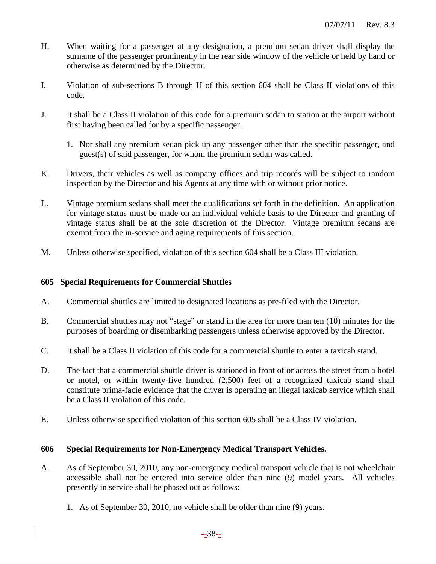- H. When waiting for a passenger at any designation, a premium sedan driver shall display the surname of the passenger prominently in the rear side window of the vehicle or held by hand or otherwise as determined by the Director.
- I. Violation of sub-sections B through H of this section 604 shall be Class II violations of this code.
- J. It shall be a Class II violation of this code for a premium sedan to station at the airport without first having been called for by a specific passenger.
	- 1. Nor shall any premium sedan pick up any passenger other than the specific passenger, and guest(s) of said passenger, for whom the premium sedan was called.
- K. Drivers, their vehicles as well as company offices and trip records will be subject to random inspection by the Director and his Agents at any time with or without prior notice.
- L. Vintage premium sedans shall meet the qualifications set forth in the definition. An application for vintage status must be made on an individual vehicle basis to the Director and granting of vintage status shall be at the sole discretion of the Director. Vintage premium sedans are exempt from the in-service and aging requirements of this section.
- M. Unless otherwise specified, violation of this section 604 shall be a Class III violation.

# **605 Special Requirements for Commercial Shuttles**

- A. Commercial shuttles are limited to designated locations as pre-filed with the Director.
- B. Commercial shuttles may not "stage" or stand in the area for more than ten (10) minutes for the purposes of boarding or disembarking passengers unless otherwise approved by the Director.
- C. It shall be a Class II violation of this code for a commercial shuttle to enter a taxicab stand.
- D. The fact that a commercial shuttle driver is stationed in front of or across the street from a hotel or motel, or within twenty-five hundred (2,500) feet of a recognized taxicab stand shall constitute prima-facie evidence that the driver is operating an illegal taxicab service which shall be a Class II violation of this code.
- E. Unless otherwise specified violation of this section 605 shall be a Class IV violation.

#### **606 Special Requirements for Non-Emergency Medical Transport Vehicles.**

- A. As of September 30, 2010, any non-emergency medical transport vehicle that is not wheelchair accessible shall not be entered into service older than nine (9) model years. All vehicles presently in service shall be phased out as follows:
	- 1. As of September 30, 2010, no vehicle shall be older than nine (9) years.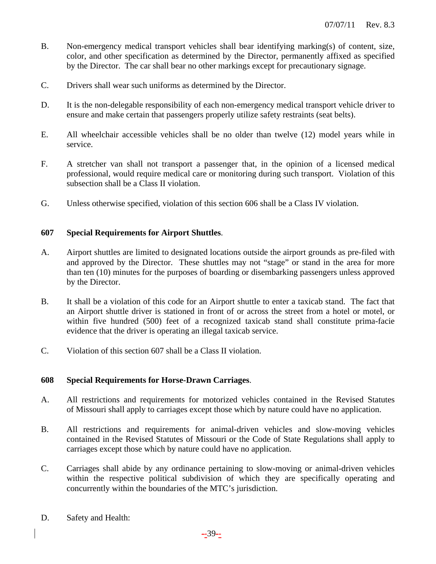- B. Non-emergency medical transport vehicles shall bear identifying marking(s) of content, size, color, and other specification as determined by the Director, permanently affixed as specified by the Director. The car shall bear no other markings except for precautionary signage.
- C. Drivers shall wear such uniforms as determined by the Director.
- D. It is the non-delegable responsibility of each non-emergency medical transport vehicle driver to ensure and make certain that passengers properly utilize safety restraints (seat belts).
- E. All wheelchair accessible vehicles shall be no older than twelve (12) model years while in service.
- F. A stretcher van shall not transport a passenger that, in the opinion of a licensed medical professional, would require medical care or monitoring during such transport. Violation of this subsection shall be a Class II violation.
- G. Unless otherwise specified, violation of this section 606 shall be a Class IV violation.

# **607 Special Requirements for Airport Shuttles**.

- A. Airport shuttles are limited to designated locations outside the airport grounds as pre-filed with and approved by the Director. These shuttles may not "stage" or stand in the area for more than ten (10) minutes for the purposes of boarding or disembarking passengers unless approved by the Director.
- B. It shall be a violation of this code for an Airport shuttle to enter a taxicab stand. The fact that an Airport shuttle driver is stationed in front of or across the street from a hotel or motel, or within five hundred (500) feet of a recognized taxicab stand shall constitute prima-facie evidence that the driver is operating an illegal taxicab service.
- C. Violation of this section 607 shall be a Class II violation.

#### **608 Special Requirements for Horse-Drawn Carriages**.

- A. All restrictions and requirements for motorized vehicles contained in the Revised Statutes of Missouri shall apply to carriages except those which by nature could have no application.
- B. All restrictions and requirements for animal-driven vehicles and slow-moving vehicles contained in the Revised Statutes of Missouri or the Code of State Regulations shall apply to carriages except those which by nature could have no application.
- C. Carriages shall abide by any ordinance pertaining to slow-moving or animal-driven vehicles within the respective political subdivision of which they are specifically operating and concurrently within the boundaries of the MTC's jurisdiction.
- D. Safety and Health: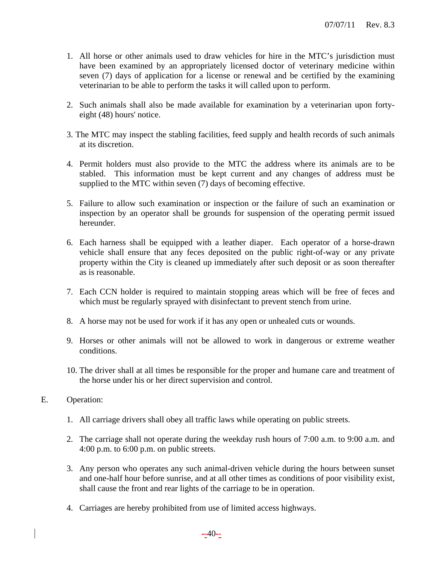- 1. All horse or other animals used to draw vehicles for hire in the MTC's jurisdiction must have been examined by an appropriately licensed doctor of veterinary medicine within seven (7) days of application for a license or renewal and be certified by the examining veterinarian to be able to perform the tasks it will called upon to perform.
- 2. Such animals shall also be made available for examination by a veterinarian upon fortyeight (48) hours' notice.
- 3. The MTC may inspect the stabling facilities, feed supply and health records of such animals at its discretion.
- 4. Permit holders must also provide to the MTC the address where its animals are to be stabled. This information must be kept current and any changes of address must be supplied to the MTC within seven (7) days of becoming effective.
- 5. Failure to allow such examination or inspection or the failure of such an examination or inspection by an operator shall be grounds for suspension of the operating permit issued hereunder.
- 6. Each harness shall be equipped with a leather diaper. Each operator of a horse-drawn vehicle shall ensure that any feces deposited on the public right-of-way or any private property within the City is cleaned up immediately after such deposit or as soon thereafter as is reasonable.
- 7. Each CCN holder is required to maintain stopping areas which will be free of feces and which must be regularly sprayed with disinfectant to prevent stench from urine.
- 8. A horse may not be used for work if it has any open or unhealed cuts or wounds.
- 9. Horses or other animals will not be allowed to work in dangerous or extreme weather conditions.
- 10. The driver shall at all times be responsible for the proper and humane care and treatment of the horse under his or her direct supervision and control.
- E. Operation:
	- 1. All carriage drivers shall obey all traffic laws while operating on public streets.
	- 2. The carriage shall not operate during the weekday rush hours of 7:00 a.m. to 9:00 a.m. and 4:00 p.m. to 6:00 p.m. on public streets.
	- 3. Any person who operates any such animal-driven vehicle during the hours between sunset and one-half hour before sunrise, and at all other times as conditions of poor visibility exist, shall cause the front and rear lights of the carriage to be in operation.
	- 4. Carriages are hereby prohibited from use of limited access highways.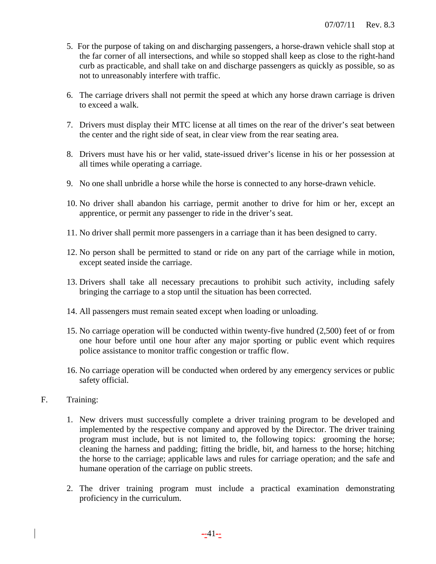- 5. For the purpose of taking on and discharging passengers, a horse-drawn vehicle shall stop at the far corner of all intersections, and while so stopped shall keep as close to the right-hand curb as practicable, and shall take on and discharge passengers as quickly as possible, so as not to unreasonably interfere with traffic.
- 6. The carriage drivers shall not permit the speed at which any horse drawn carriage is driven to exceed a walk.
- 7. Drivers must display their MTC license at all times on the rear of the driver's seat between the center and the right side of seat, in clear view from the rear seating area.
- 8. Drivers must have his or her valid, state-issued driver's license in his or her possession at all times while operating a carriage.
- 9. No one shall unbridle a horse while the horse is connected to any horse-drawn vehicle.
- 10. No driver shall abandon his carriage, permit another to drive for him or her, except an apprentice, or permit any passenger to ride in the driver's seat.
- 11. No driver shall permit more passengers in a carriage than it has been designed to carry.
- 12. No person shall be permitted to stand or ride on any part of the carriage while in motion, except seated inside the carriage.
- 13. Drivers shall take all necessary precautions to prohibit such activity, including safely bringing the carriage to a stop until the situation has been corrected.
- 14. All passengers must remain seated except when loading or unloading.
- 15. No carriage operation will be conducted within twenty-five hundred (2,500) feet of or from one hour before until one hour after any major sporting or public event which requires police assistance to monitor traffic congestion or traffic flow.
- 16. No carriage operation will be conducted when ordered by any emergency services or public safety official.
- F. Training:
	- 1. New drivers must successfully complete a driver training program to be developed and implemented by the respective company and approved by the Director. The driver training program must include, but is not limited to, the following topics: grooming the horse; cleaning the harness and padding; fitting the bridle, bit, and harness to the horse; hitching the horse to the carriage; applicable laws and rules for carriage operation; and the safe and humane operation of the carriage on public streets.
	- 2. The driver training program must include a practical examination demonstrating proficiency in the curriculum.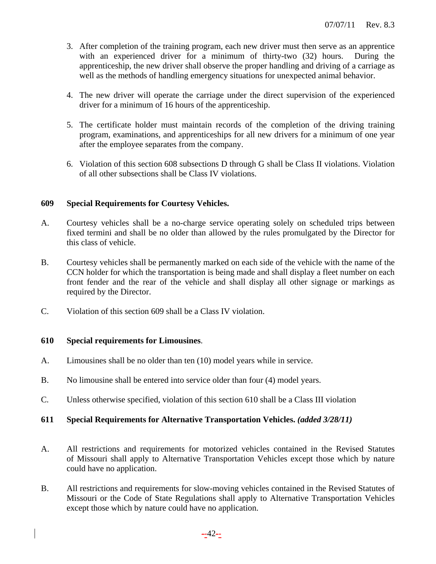- 3. After completion of the training program, each new driver must then serve as an apprentice with an experienced driver for a minimum of thirty-two (32) hours. During the apprenticeship, the new driver shall observe the proper handling and driving of a carriage as well as the methods of handling emergency situations for unexpected animal behavior.
- 4. The new driver will operate the carriage under the direct supervision of the experienced driver for a minimum of 16 hours of the apprenticeship.
- 5. The certificate holder must maintain records of the completion of the driving training program, examinations, and apprenticeships for all new drivers for a minimum of one year after the employee separates from the company.
- 6. Violation of this section 608 subsections D through G shall be Class II violations. Violation of all other subsections shall be Class IV violations.

#### **609 Special Requirements for Courtesy Vehicles.**

- A. Courtesy vehicles shall be a no-charge service operating solely on scheduled trips between fixed termini and shall be no older than allowed by the rules promulgated by the Director for this class of vehicle.
- B. Courtesy vehicles shall be permanently marked on each side of the vehicle with the name of the CCN holder for which the transportation is being made and shall display a fleet number on each front fender and the rear of the vehicle and shall display all other signage or markings as required by the Director.
- C. Violation of this section 609 shall be a Class IV violation.

#### **610 Special requirements for Limousines**.

- A. Limousines shall be no older than ten (10) model years while in service.
- B. No limousine shall be entered into service older than four (4) model years.
- C. Unless otherwise specified, violation of this section 610 shall be a Class III violation

# **611 Special Requirements for Alternative Transportation Vehicles.** *(added 3/28/11)*

- A. All restrictions and requirements for motorized vehicles contained in the Revised Statutes of Missouri shall apply to Alternative Transportation Vehicles except those which by nature could have no application.
- B. All restrictions and requirements for slow-moving vehicles contained in the Revised Statutes of Missouri or the Code of State Regulations shall apply to Alternative Transportation Vehicles except those which by nature could have no application.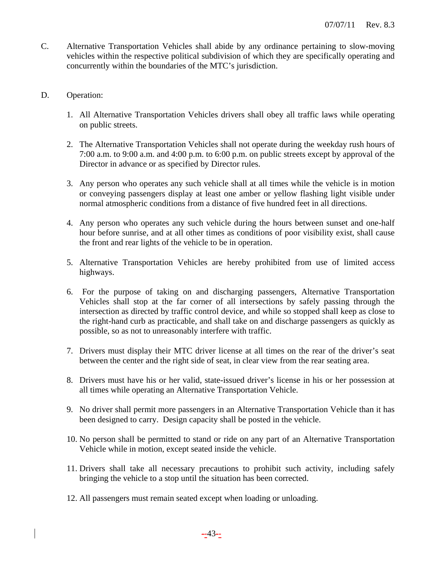- C. Alternative Transportation Vehicles shall abide by any ordinance pertaining to slow-moving vehicles within the respective political subdivision of which they are specifically operating and concurrently within the boundaries of the MTC's jurisdiction.
- D. Operation:
	- 1. All Alternative Transportation Vehicles drivers shall obey all traffic laws while operating on public streets.
	- 2. The Alternative Transportation Vehicles shall not operate during the weekday rush hours of 7:00 a.m. to 9:00 a.m. and 4:00 p.m. to 6:00 p.m. on public streets except by approval of the Director in advance or as specified by Director rules.
	- 3. Any person who operates any such vehicle shall at all times while the vehicle is in motion or conveying passengers display at least one amber or yellow flashing light visible under normal atmospheric conditions from a distance of five hundred feet in all directions.
	- 4. Any person who operates any such vehicle during the hours between sunset and one-half hour before sunrise, and at all other times as conditions of poor visibility exist, shall cause the front and rear lights of the vehicle to be in operation.
	- 5. Alternative Transportation Vehicles are hereby prohibited from use of limited access highways.
	- 6. For the purpose of taking on and discharging passengers, Alternative Transportation Vehicles shall stop at the far corner of all intersections by safely passing through the intersection as directed by traffic control device, and while so stopped shall keep as close to the right-hand curb as practicable, and shall take on and discharge passengers as quickly as possible, so as not to unreasonably interfere with traffic.
	- 7. Drivers must display their MTC driver license at all times on the rear of the driver's seat between the center and the right side of seat, in clear view from the rear seating area.
	- 8. Drivers must have his or her valid, state-issued driver's license in his or her possession at all times while operating an Alternative Transportation Vehicle.
	- 9. No driver shall permit more passengers in an Alternative Transportation Vehicle than it has been designed to carry. Design capacity shall be posted in the vehicle.
	- 10. No person shall be permitted to stand or ride on any part of an Alternative Transportation Vehicle while in motion, except seated inside the vehicle.
	- 11. Drivers shall take all necessary precautions to prohibit such activity, including safely bringing the vehicle to a stop until the situation has been corrected.
	- 12. All passengers must remain seated except when loading or unloading.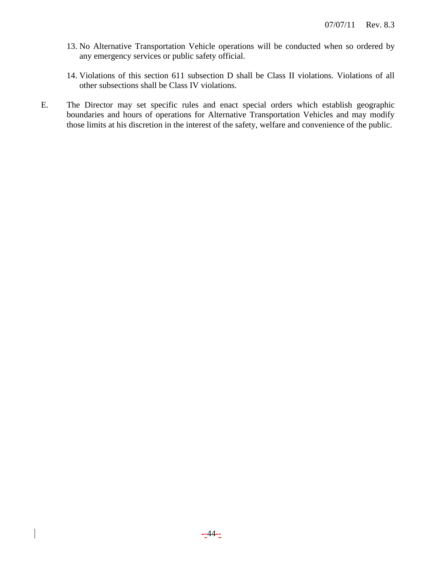- 13. No Alternative Transportation Vehicle operations will be conducted when so ordered by any emergency services or public safety official.
- 14. Violations of this section 611 subsection D shall be Class II violations. Violations of all other subsections shall be Class IV violations.
- E. The Director may set specific rules and enact special orders which establish geographic boundaries and hours of operations for Alternative Transportation Vehicles and may modify those limits at his discretion in the interest of the safety, welfare and convenience of the public.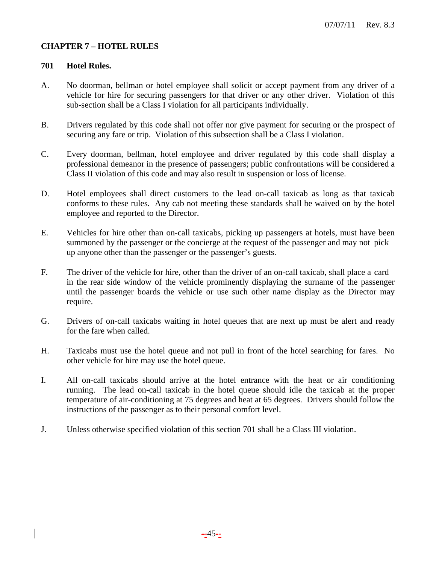#### **CHAPTER 7 – HOTEL RULES**

#### **701 Hotel Rules.**

- A. No doorman, bellman or hotel employee shall solicit or accept payment from any driver of a vehicle for hire for securing passengers for that driver or any other driver. Violation of this sub-section shall be a Class I violation for all participants individually.
- B. Drivers regulated by this code shall not offer nor give payment for securing or the prospect of securing any fare or trip. Violation of this subsection shall be a Class I violation.
- C. Every doorman, bellman, hotel employee and driver regulated by this code shall display a professional demeanor in the presence of passengers; public confrontations will be considered a Class II violation of this code and may also result in suspension or loss of license.
- D. Hotel employees shall direct customers to the lead on-call taxicab as long as that taxicab conforms to these rules. Any cab not meeting these standards shall be waived on by the hotel employee and reported to the Director.
- E. Vehicles for hire other than on-call taxicabs, picking up passengers at hotels, must have been summoned by the passenger or the concierge at the request of the passenger and may not pick up anyone other than the passenger or the passenger's guests.
- F. The driver of the vehicle for hire, other than the driver of an on-call taxicab, shall place a card in the rear side window of the vehicle prominently displaying the surname of the passenger until the passenger boards the vehicle or use such other name display as the Director may require.
- G. Drivers of on-call taxicabs waiting in hotel queues that are next up must be alert and ready for the fare when called.
- H. Taxicabs must use the hotel queue and not pull in front of the hotel searching for fares. No other vehicle for hire may use the hotel queue.
- I. All on-call taxicabs should arrive at the hotel entrance with the heat or air conditioning running. The lead on-call taxicab in the hotel queue should idle the taxicab at the proper temperature of air-conditioning at 75 degrees and heat at 65 degrees. Drivers should follow the instructions of the passenger as to their personal comfort level.
- J. Unless otherwise specified violation of this section 701 shall be a Class III violation.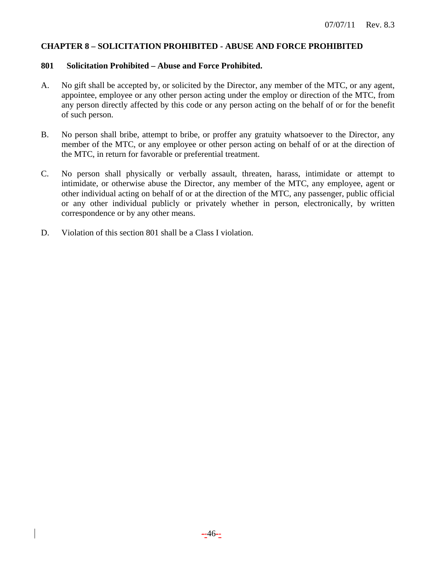# **CHAPTER 8 – SOLICITATION PROHIBITED - ABUSE AND FORCE PROHIBITED**

#### **801 Solicitation Prohibited – Abuse and Force Prohibited.**

- A. No gift shall be accepted by, or solicited by the Director, any member of the MTC, or any agent, appointee, employee or any other person acting under the employ or direction of the MTC, from any person directly affected by this code or any person acting on the behalf of or for the benefit of such person.
- B. No person shall bribe, attempt to bribe, or proffer any gratuity whatsoever to the Director, any member of the MTC, or any employee or other person acting on behalf of or at the direction of the MTC, in return for favorable or preferential treatment.
- C. No person shall physically or verbally assault, threaten, harass, intimidate or attempt to intimidate, or otherwise abuse the Director, any member of the MTC, any employee, agent or other individual acting on behalf of or at the direction of the MTC, any passenger, public official or any other individual publicly or privately whether in person, electronically, by written correspondence or by any other means.
- D. Violation of this section 801 shall be a Class I violation.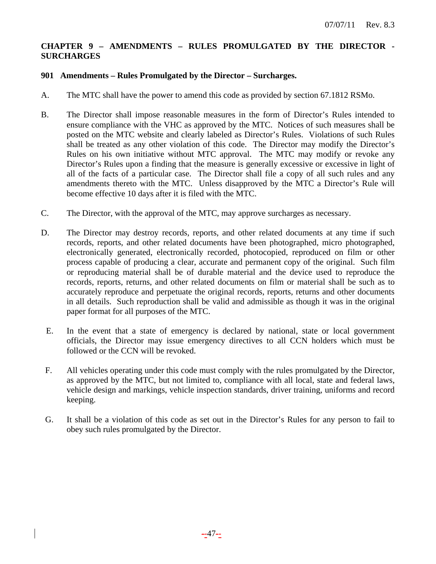# **CHAPTER 9 – AMENDMENTS – RULES PROMULGATED BY THE DIRECTOR - SURCHARGES**

#### **901 Amendments – Rules Promulgated by the Director – Surcharges.**

- A. The MTC shall have the power to amend this code as provided by section 67.1812 RSMo.
- B. The Director shall impose reasonable measures in the form of Director's Rules intended to ensure compliance with the VHC as approved by the MTC. Notices of such measures shall be posted on the MTC website and clearly labeled as Director's Rules. Violations of such Rules shall be treated as any other violation of this code. The Director may modify the Director's Rules on his own initiative without MTC approval. The MTC may modify or revoke any Director's Rules upon a finding that the measure is generally excessive or excessive in light of all of the facts of a particular case. The Director shall file a copy of all such rules and any amendments thereto with the MTC. Unless disapproved by the MTC a Director's Rule will become effective 10 days after it is filed with the MTC.
- C. The Director, with the approval of the MTC, may approve surcharges as necessary.
- D. The Director may destroy records, reports, and other related documents at any time if such records, reports, and other related documents have been photographed, micro photographed, electronically generated, electronically recorded, photocopied, reproduced on film or other process capable of producing a clear, accurate and permanent copy of the original. Such film or reproducing material shall be of durable material and the device used to reproduce the records, reports, returns, and other related documents on film or material shall be such as to accurately reproduce and perpetuate the original records, reports, returns and other documents in all details. Such reproduction shall be valid and admissible as though it was in the original paper format for all purposes of the MTC.
	- E. In the event that a state of emergency is declared by national, state or local government officials, the Director may issue emergency directives to all CCN holders which must be followed or the CCN will be revoked.
- F. All vehicles operating under this code must comply with the rules promulgated by the Director, as approved by the MTC, but not limited to, compliance with all local, state and federal laws, vehicle design and markings, vehicle inspection standards, driver training, uniforms and record keeping.
- G. It shall be a violation of this code as set out in the Director's Rules for any person to fail to obey such rules promulgated by the Director.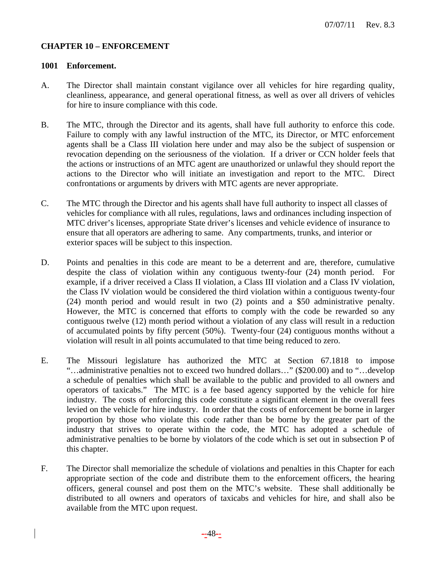#### **CHAPTER 10 – ENFORCEMENT**

#### **1001 Enforcement.**

- A. The Director shall maintain constant vigilance over all vehicles for hire regarding quality, cleanliness, appearance, and general operational fitness, as well as over all drivers of vehicles for hire to insure compliance with this code.
- B. The MTC, through the Director and its agents, shall have full authority to enforce this code. Failure to comply with any lawful instruction of the MTC, its Director, or MTC enforcement agents shall be a Class III violation here under and may also be the subject of suspension or revocation depending on the seriousness of the violation. If a driver or CCN holder feels that the actions or instructions of an MTC agent are unauthorized or unlawful they should report the actions to the Director who will initiate an investigation and report to the MTC. Direct confrontations or arguments by drivers with MTC agents are never appropriate.
- C. The MTC through the Director and his agents shall have full authority to inspect all classes of vehicles for compliance with all rules, regulations, laws and ordinances including inspection of MTC driver's licenses, appropriate State driver's licenses and vehicle evidence of insurance to ensure that all operators are adhering to same. Any compartments, trunks, and interior or exterior spaces will be subject to this inspection.
- D. Points and penalties in this code are meant to be a deterrent and are, therefore, cumulative despite the class of violation within any contiguous twenty-four (24) month period. For example, if a driver received a Class II violation, a Class III violation and a Class IV violation, the Class IV violation would be considered the third violation within a contiguous twenty-four (24) month period and would result in two (2) points and a \$50 administrative penalty. However, the MTC is concerned that efforts to comply with the code be rewarded so any contiguous twelve (12) month period without a violation of any class will result in a reduction of accumulated points by fifty percent (50%). Twenty-four (24) contiguous months without a violation will result in all points accumulated to that time being reduced to zero.
- E. The Missouri legislature has authorized the MTC at Section 67.1818 to impose "…administrative penalties not to exceed two hundred dollars…" (\$200.00) and to "…develop a schedule of penalties which shall be available to the public and provided to all owners and operators of taxicabs." The MTC is a fee based agency supported by the vehicle for hire industry. The costs of enforcing this code constitute a significant element in the overall fees levied on the vehicle for hire industry. In order that the costs of enforcement be borne in larger proportion by those who violate this code rather than be borne by the greater part of the industry that strives to operate within the code, the MTC has adopted a schedule of administrative penalties to be borne by violators of the code which is set out in subsection P of this chapter.
- F. The Director shall memorialize the schedule of violations and penalties in this Chapter for each appropriate section of the code and distribute them to the enforcement officers, the hearing officers, general counsel and post them on the MTC's website. These shall additionally be distributed to all owners and operators of taxicabs and vehicles for hire, and shall also be available from the MTC upon request.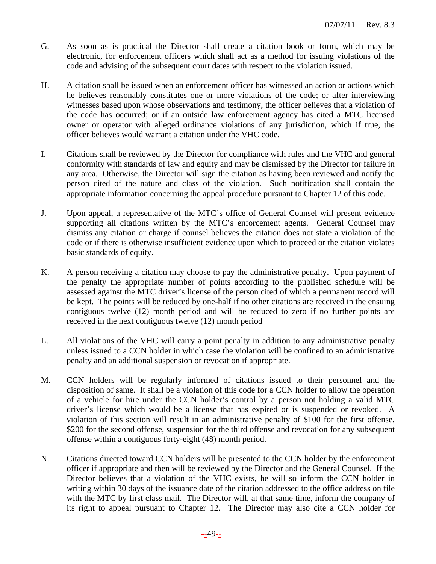- G. As soon as is practical the Director shall create a citation book or form, which may be electronic, for enforcement officers which shall act as a method for issuing violations of the code and advising of the subsequent court dates with respect to the violation issued.
- H. A citation shall be issued when an enforcement officer has witnessed an action or actions which he believes reasonably constitutes one or more violations of the code; or after interviewing witnesses based upon whose observations and testimony, the officer believes that a violation of the code has occurred; or if an outside law enforcement agency has cited a MTC licensed owner or operator with alleged ordinance violations of any jurisdiction, which if true, the officer believes would warrant a citation under the VHC code.
- I. Citations shall be reviewed by the Director for compliance with rules and the VHC and general conformity with standards of law and equity and may be dismissed by the Director for failure in any area. Otherwise, the Director will sign the citation as having been reviewed and notify the person cited of the nature and class of the violation. Such notification shall contain the appropriate information concerning the appeal procedure pursuant to Chapter 12 of this code.
- J. Upon appeal, a representative of the MTC's office of General Counsel will present evidence supporting all citations written by the MTC's enforcement agents. General Counsel may dismiss any citation or charge if counsel believes the citation does not state a violation of the code or if there is otherwise insufficient evidence upon which to proceed or the citation violates basic standards of equity.
- K. A person receiving a citation may choose to pay the administrative penalty. Upon payment of the penalty the appropriate number of points according to the published schedule will be assessed against the MTC driver's license of the person cited of which a permanent record will be kept. The points will be reduced by one-half if no other citations are received in the ensuing contiguous twelve (12) month period and will be reduced to zero if no further points are received in the next contiguous twelve (12) month period
- L. All violations of the VHC will carry a point penalty in addition to any administrative penalty unless issued to a CCN holder in which case the violation will be confined to an administrative penalty and an additional suspension or revocation if appropriate.
- M. CCN holders will be regularly informed of citations issued to their personnel and the disposition of same. It shall be a violation of this code for a CCN holder to allow the operation of a vehicle for hire under the CCN holder's control by a person not holding a valid MTC driver's license which would be a license that has expired or is suspended or revoked. A violation of this section will result in an administrative penalty of \$100 for the first offense, \$200 for the second offense, suspension for the third offense and revocation for any subsequent offense within a contiguous forty-eight (48) month period.
- N. Citations directed toward CCN holders will be presented to the CCN holder by the enforcement officer if appropriate and then will be reviewed by the Director and the General Counsel. If the Director believes that a violation of the VHC exists, he will so inform the CCN holder in writing within 30 days of the issuance date of the citation addressed to the office address on file with the MTC by first class mail. The Director will, at that same time, inform the company of its right to appeal pursuant to Chapter 12. The Director may also cite a CCN holder for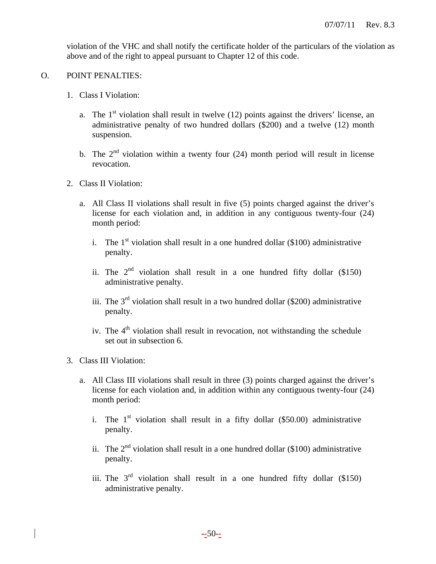violation of the VHC and shall notify the certificate holder of the particulars of the violation as above and of the right to appeal pursuant to Chapter 12 of this code.

- O. POINT PENALTIES:
	- 1. Class I Violation:
		- a. The  $1<sup>st</sup>$  violation shall result in twelve  $(12)$  points against the drivers' license, an administrative penalty of two hundred dollars (\$200) and a twelve (12) month suspension.
		- b. The  $2<sup>nd</sup>$  violation within a twenty four (24) month period will result in license revocation.
	- 2. Class II Violation:
		- a. All Class II violations shall result in five (5) points charged against the driver's license for each violation and, in addition in any contiguous twenty-four (24) month period:
			- i. The  $1<sup>st</sup>$  violation shall result in a one hundred dollar (\$100) administrative penalty.
			- ii. The  $2<sup>nd</sup>$  violation shall result in a one hundred fifty dollar (\$150) administrative penalty.
			- iii. The  $3<sup>rd</sup>$  violation shall result in a two hundred dollar (\$200) administrative penalty.
			- iv. The  $4<sup>th</sup>$  violation shall result in revocation, not withstanding the schedule set out in subsection 6.
	- 3. Class III Violation:
		- a. All Class III violations shall result in three (3) points charged against the driver's license for each violation and, in addition within any contiguous twenty-four (24) month period:
			- i. The  $1<sup>st</sup>$  violation shall result in a fifty dollar (\$50.00) administrative penalty.
			- ii. The  $2<sup>nd</sup>$  violation shall result in a one hundred dollar (\$100) administrative penalty.
			- iii. The  $3<sup>rd</sup>$  violation shall result in a one hundred fifty dollar (\$150) administrative penalty.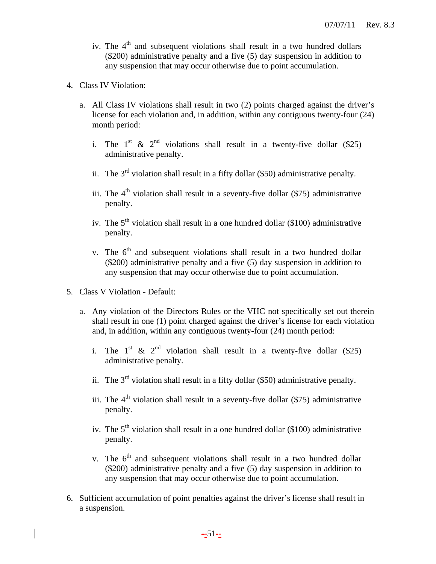- iv. The  $4<sup>th</sup>$  and subsequent violations shall result in a two hundred dollars (\$200) administrative penalty and a five (5) day suspension in addition to any suspension that may occur otherwise due to point accumulation.
- 4. Class IV Violation:
	- a. All Class IV violations shall result in two (2) points charged against the driver's license for each violation and, in addition, within any contiguous twenty-four (24) month period:
		- i. The 1<sup>st</sup> & 2<sup>nd</sup> violations shall result in a twenty-five dollar (\$25) administrative penalty.
		- ii. The  $3<sup>rd</sup>$  violation shall result in a fifty dollar (\$50) administrative penalty.
		- iii. The  $4<sup>th</sup>$  violation shall result in a seventy-five dollar (\$75) administrative penalty.
		- iv. The  $5<sup>th</sup>$  violation shall result in a one hundred dollar (\$100) administrative penalty.
		- v. The  $6<sup>th</sup>$  and subsequent violations shall result in a two hundred dollar (\$200) administrative penalty and a five (5) day suspension in addition to any suspension that may occur otherwise due to point accumulation.
- 5. Class V Violation Default:
	- a. Any violation of the Directors Rules or the VHC not specifically set out therein shall result in one (1) point charged against the driver's license for each violation and, in addition, within any contiguous twenty-four (24) month period:
		- i. The 1<sup>st</sup> & 2<sup>nd</sup> violation shall result in a twenty-five dollar (\$25) administrative penalty.
		- ii. The  $3<sup>rd</sup>$  violation shall result in a fifty dollar (\$50) administrative penalty.
		- iii. The  $4<sup>th</sup>$  violation shall result in a seventy-five dollar (\$75) administrative penalty.
		- iv. The  $5<sup>th</sup>$  violation shall result in a one hundred dollar (\$100) administrative penalty.
		- v. The  $6<sup>th</sup>$  and subsequent violations shall result in a two hundred dollar (\$200) administrative penalty and a five (5) day suspension in addition to any suspension that may occur otherwise due to point accumulation.
- 6. Sufficient accumulation of point penalties against the driver's license shall result in a suspension.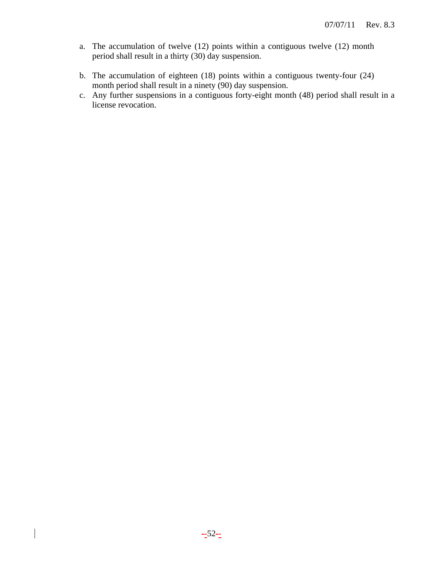- a. The accumulation of twelve (12) points within a contiguous twelve (12) month period shall result in a thirty (30) day suspension.
- b. The accumulation of eighteen (18) points within a contiguous twenty-four (24) month period shall result in a ninety (90) day suspension.
- c. Any further suspensions in a contiguous forty-eight month (48) period shall result in a license revocation.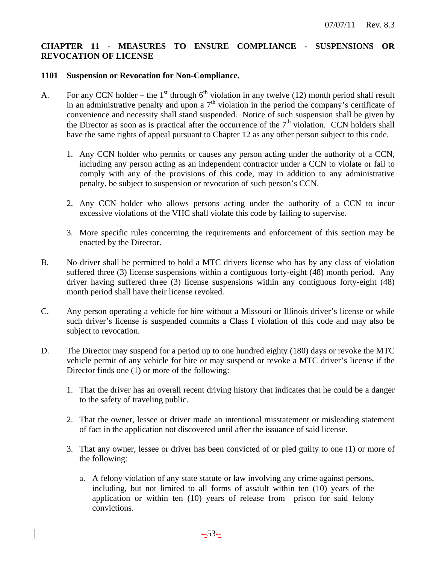#### **CHAPTER 11 - MEASURES TO ENSURE COMPLIANCE - SUSPENSIONS OR REVOCATION OF LICENSE**

#### **1101 Suspension or Revocation for Non-Compliance.**

- A. For any CCN holder the 1<sup>st</sup> through  $6<sup>th</sup>$  violation in any twelve (12) month period shall result in an administrative penalty and upon a  $7<sup>th</sup>$  violation in the period the company's certificate of convenience and necessity shall stand suspended. Notice of such suspension shall be given by the Director as soon as is practical after the occurrence of the  $7<sup>th</sup>$  violation. CCN holders shall have the same rights of appeal pursuant to Chapter 12 as any other person subject to this code.
	- 1. Any CCN holder who permits or causes any person acting under the authority of a CCN, including any person acting as an independent contractor under a CCN to violate or fail to comply with any of the provisions of this code, may in addition to any administrative penalty, be subject to suspension or revocation of such person's CCN.
	- 2. Any CCN holder who allows persons acting under the authority of a CCN to incur excessive violations of the VHC shall violate this code by failing to supervise.
	- 3. More specific rules concerning the requirements and enforcement of this section may be enacted by the Director.
- B. No driver shall be permitted to hold a MTC drivers license who has by any class of violation suffered three (3) license suspensions within a contiguous forty-eight (48) month period. Any driver having suffered three (3) license suspensions within any contiguous forty-eight (48) month period shall have their license revoked.
- C. Any person operating a vehicle for hire without a Missouri or Illinois driver's license or while such driver's license is suspended commits a Class I violation of this code and may also be subject to revocation.
- D. The Director may suspend for a period up to one hundred eighty (180) days or revoke the MTC vehicle permit of any vehicle for hire or may suspend or revoke a MTC driver's license if the Director finds one (1) or more of the following:
	- 1. That the driver has an overall recent driving history that indicates that he could be a danger to the safety of traveling public.
	- 2. That the owner, lessee or driver made an intentional misstatement or misleading statement of fact in the application not discovered until after the issuance of said license.
	- 3. That any owner, lessee or driver has been convicted of or pled guilty to one (1) or more of the following:
		- a. A felony violation of any state statute or law involving any crime against persons, including, but not limited to all forms of assault within ten (10) years of the application or within ten (10) years of release from prison for said felony convictions.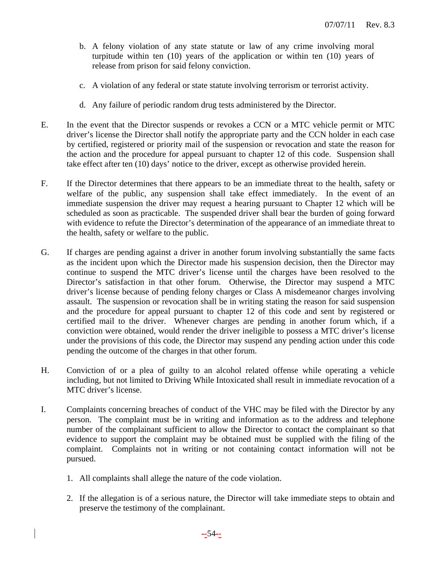- b. A felony violation of any state statute or law of any crime involving moral turpitude within ten (10) years of the application or within ten (10) years of release from prison for said felony conviction.
- c. A violation of any federal or state statute involving terrorism or terrorist activity.
- d. Any failure of periodic random drug tests administered by the Director.
- E. In the event that the Director suspends or revokes a CCN or a MTC vehicle permit or MTC driver's license the Director shall notify the appropriate party and the CCN holder in each case by certified, registered or priority mail of the suspension or revocation and state the reason for the action and the procedure for appeal pursuant to chapter 12 of this code. Suspension shall take effect after ten (10) days' notice to the driver, except as otherwise provided herein.
- F. If the Director determines that there appears to be an immediate threat to the health, safety or welfare of the public, any suspension shall take effect immediately. In the event of an immediate suspension the driver may request a hearing pursuant to Chapter 12 which will be scheduled as soon as practicable. The suspended driver shall bear the burden of going forward with evidence to refute the Director's determination of the appearance of an immediate threat to the health, safety or welfare to the public.
- G. If charges are pending against a driver in another forum involving substantially the same facts as the incident upon which the Director made his suspension decision, then the Director may continue to suspend the MTC driver's license until the charges have been resolved to the Director's satisfaction in that other forum. Otherwise, the Director may suspend a MTC driver's license because of pending felony charges or Class A misdemeanor charges involving assault. The suspension or revocation shall be in writing stating the reason for said suspension and the procedure for appeal pursuant to chapter 12 of this code and sent by registered or certified mail to the driver. Whenever charges are pending in another forum which, if a conviction were obtained, would render the driver ineligible to possess a MTC driver's license under the provisions of this code, the Director may suspend any pending action under this code pending the outcome of the charges in that other forum.
- H. Conviction of or a plea of guilty to an alcohol related offense while operating a vehicle including, but not limited to Driving While Intoxicated shall result in immediate revocation of a MTC driver's license.
- I. Complaints concerning breaches of conduct of the VHC may be filed with the Director by any person. The complaint must be in writing and information as to the address and telephone number of the complainant sufficient to allow the Director to contact the complainant so that evidence to support the complaint may be obtained must be supplied with the filing of the complaint. Complaints not in writing or not containing contact information will not be pursued.
	- 1. All complaints shall allege the nature of the code violation.
	- 2. If the allegation is of a serious nature, the Director will take immediate steps to obtain and preserve the testimony of the complainant.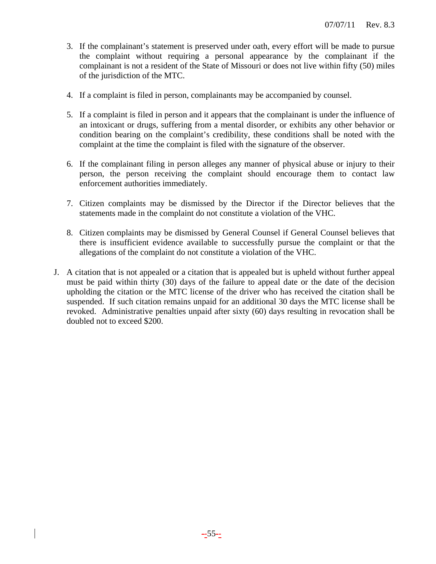- 3. If the complainant's statement is preserved under oath, every effort will be made to pursue the complaint without requiring a personal appearance by the complainant if the complainant is not a resident of the State of Missouri or does not live within fifty (50) miles of the jurisdiction of the MTC.
- 4. If a complaint is filed in person, complainants may be accompanied by counsel.
- 5. If a complaint is filed in person and it appears that the complainant is under the influence of an intoxicant or drugs, suffering from a mental disorder, or exhibits any other behavior or condition bearing on the complaint's credibility, these conditions shall be noted with the complaint at the time the complaint is filed with the signature of the observer.
- 6. If the complainant filing in person alleges any manner of physical abuse or injury to their person, the person receiving the complaint should encourage them to contact law enforcement authorities immediately.
- 7. Citizen complaints may be dismissed by the Director if the Director believes that the statements made in the complaint do not constitute a violation of the VHC.
- 8. Citizen complaints may be dismissed by General Counsel if General Counsel believes that there is insufficient evidence available to successfully pursue the complaint or that the allegations of the complaint do not constitute a violation of the VHC.
- J. A citation that is not appealed or a citation that is appealed but is upheld without further appeal must be paid within thirty (30) days of the failure to appeal date or the date of the decision upholding the citation or the MTC license of the driver who has received the citation shall be suspended. If such citation remains unpaid for an additional 30 days the MTC license shall be revoked. Administrative penalties unpaid after sixty (60) days resulting in revocation shall be doubled not to exceed \$200.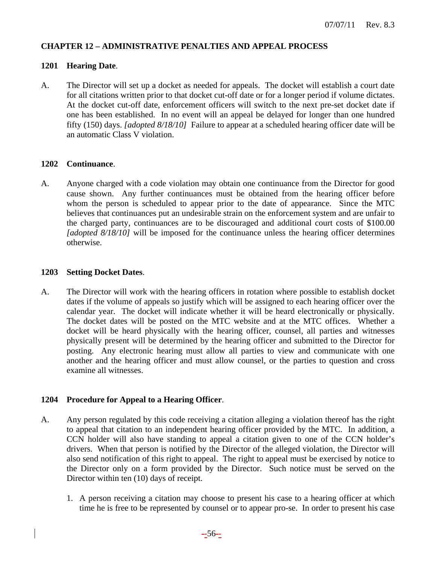# **CHAPTER 12 – ADMINISTRATIVE PENALTIES AND APPEAL PROCESS**

#### **1201 Hearing Date**.

A. The Director will set up a docket as needed for appeals. The docket will establish a court date for all citations written prior to that docket cut-off date or for a longer period if volume dictates. At the docket cut-off date, enforcement officers will switch to the next pre-set docket date if one has been established. In no event will an appeal be delayed for longer than one hundred fifty (150) days. *[adopted 8/18/10]* Failure to appear at a scheduled hearing officer date will be an automatic Class V violation.

# **1202 Continuance**.

A. Anyone charged with a code violation may obtain one continuance from the Director for good cause shown. Any further continuances must be obtained from the hearing officer before whom the person is scheduled to appear prior to the date of appearance. Since the MTC believes that continuances put an undesirable strain on the enforcement system and are unfair to the charged party, continuances are to be discouraged and additional court costs of \$100.00 *[adopted 8/18/10]* will be imposed for the continuance unless the hearing officer determines otherwise.

# **1203 Setting Docket Dates**.

A. The Director will work with the hearing officers in rotation where possible to establish docket dates if the volume of appeals so justify which will be assigned to each hearing officer over the calendar year. The docket will indicate whether it will be heard electronically or physically. The docket dates will be posted on the MTC website and at the MTC offices. Whether a docket will be heard physically with the hearing officer, counsel, all parties and witnesses physically present will be determined by the hearing officer and submitted to the Director for posting. Any electronic hearing must allow all parties to view and communicate with one another and the hearing officer and must allow counsel, or the parties to question and cross examine all witnesses.

#### **1204 Procedure for Appeal to a Hearing Officer**.

- A. Any person regulated by this code receiving a citation alleging a violation thereof has the right to appeal that citation to an independent hearing officer provided by the MTC. In addition, a CCN holder will also have standing to appeal a citation given to one of the CCN holder's drivers. When that person is notified by the Director of the alleged violation, the Director will also send notification of this right to appeal. The right to appeal must be exercised by notice to the Director only on a form provided by the Director. Such notice must be served on the Director within ten (10) days of receipt.
	- 1. A person receiving a citation may choose to present his case to a hearing officer at which time he is free to be represented by counsel or to appear pro-se. In order to present his case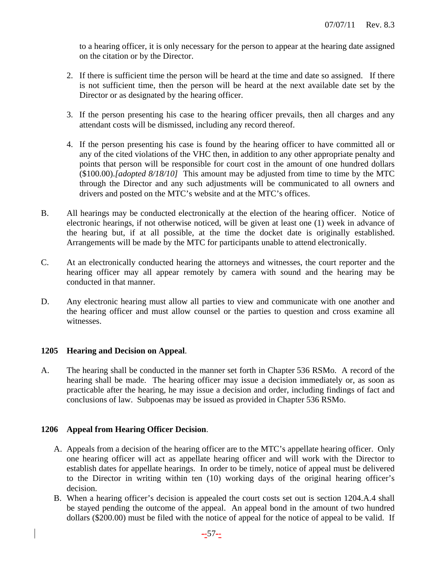to a hearing officer, it is only necessary for the person to appear at the hearing date assigned on the citation or by the Director.

- 2. If there is sufficient time the person will be heard at the time and date so assigned. If there is not sufficient time, then the person will be heard at the next available date set by the Director or as designated by the hearing officer.
- 3. If the person presenting his case to the hearing officer prevails, then all charges and any attendant costs will be dismissed, including any record thereof.
- 4. If the person presenting his case is found by the hearing officer to have committed all or any of the cited violations of the VHC then, in addition to any other appropriate penalty and points that person will be responsible for court cost in the amount of one hundred dollars (\$100.00).*[adopted 8/18/10]* This amount may be adjusted from time to time by the MTC through the Director and any such adjustments will be communicated to all owners and drivers and posted on the MTC's website and at the MTC's offices.
- B. All hearings may be conducted electronically at the election of the hearing officer. Notice of electronic hearings, if not otherwise noticed, will be given at least one (1) week in advance of the hearing but, if at all possible, at the time the docket date is originally established. Arrangements will be made by the MTC for participants unable to attend electronically.
- C. At an electronically conducted hearing the attorneys and witnesses, the court reporter and the hearing officer may all appear remotely by camera with sound and the hearing may be conducted in that manner.
- D. Any electronic hearing must allow all parties to view and communicate with one another and the hearing officer and must allow counsel or the parties to question and cross examine all witnesses.

#### **1205 Hearing and Decision on Appeal**.

A. The hearing shall be conducted in the manner set forth in Chapter 536 RSMo. A record of the hearing shall be made. The hearing officer may issue a decision immediately or, as soon as practicable after the hearing, he may issue a decision and order, including findings of fact and conclusions of law. Subpoenas may be issued as provided in Chapter 536 RSMo.

#### **1206 Appeal from Hearing Officer Decision**.

- A. Appeals from a decision of the hearing officer are to the MTC's appellate hearing officer. Only one hearing officer will act as appellate hearing officer and will work with the Director to establish dates for appellate hearings. In order to be timely, notice of appeal must be delivered to the Director in writing within ten (10) working days of the original hearing officer's decision.
- B. When a hearing officer's decision is appealed the court costs set out is section 1204.A.4 shall be stayed pending the outcome of the appeal. An appeal bond in the amount of two hundred dollars (\$200.00) must be filed with the notice of appeal for the notice of appeal to be valid. If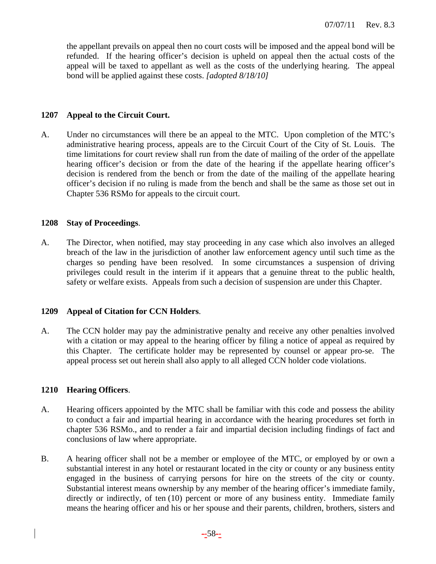the appellant prevails on appeal then no court costs will be imposed and the appeal bond will be refunded. If the hearing officer's decision is upheld on appeal then the actual costs of the appeal will be taxed to appellant as well as the costs of the underlying hearing. The appeal bond will be applied against these costs. *[adopted 8/18/10]*

#### **1207 Appeal to the Circuit Court.**

A. Under no circumstances will there be an appeal to the MTC. Upon completion of the MTC's administrative hearing process, appeals are to the Circuit Court of the City of St. Louis. The time limitations for court review shall run from the date of mailing of the order of the appellate hearing officer's decision or from the date of the hearing if the appellate hearing officer's decision is rendered from the bench or from the date of the mailing of the appellate hearing officer's decision if no ruling is made from the bench and shall be the same as those set out in Chapter 536 RSMo for appeals to the circuit court.

#### **1208 Stay of Proceedings**.

A. The Director, when notified, may stay proceeding in any case which also involves an alleged breach of the law in the jurisdiction of another law enforcement agency until such time as the charges so pending have been resolved. In some circumstances a suspension of driving privileges could result in the interim if it appears that a genuine threat to the public health, safety or welfare exists. Appeals from such a decision of suspension are under this Chapter.

#### **1209 Appeal of Citation for CCN Holders**.

A. The CCN holder may pay the administrative penalty and receive any other penalties involved with a citation or may appeal to the hearing officer by filing a notice of appeal as required by this Chapter. The certificate holder may be represented by counsel or appear pro-se. The appeal process set out herein shall also apply to all alleged CCN holder code violations.

#### **1210 Hearing Officers**.

- A. Hearing officers appointed by the MTC shall be familiar with this code and possess the ability to conduct a fair and impartial hearing in accordance with the hearing procedures set forth in chapter 536 RSMo., and to render a fair and impartial decision including findings of fact and conclusions of law where appropriate.
- B. A hearing officer shall not be a member or employee of the MTC, or employed by or own a substantial interest in any hotel or restaurant located in the city or county or any business entity engaged in the business of carrying persons for hire on the streets of the city or county. Substantial interest means ownership by any member of the hearing officer's immediate family, directly or indirectly, of ten (10) percent or more of any business entity. Immediate family means the hearing officer and his or her spouse and their parents, children, brothers, sisters and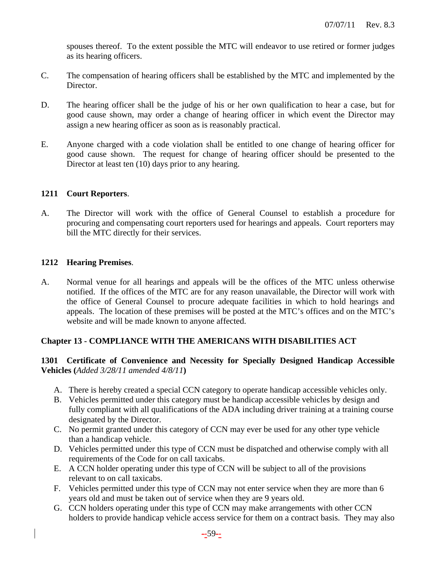spouses thereof. To the extent possible the MTC will endeavor to use retired or former judges as its hearing officers.

- C. The compensation of hearing officers shall be established by the MTC and implemented by the Director.
- D. The hearing officer shall be the judge of his or her own qualification to hear a case, but for good cause shown, may order a change of hearing officer in which event the Director may assign a new hearing officer as soon as is reasonably practical.
- E. Anyone charged with a code violation shall be entitled to one change of hearing officer for good cause shown. The request for change of hearing officer should be presented to the Director at least ten (10) days prior to any hearing.

#### **1211 Court Reporters**.

A. The Director will work with the office of General Counsel to establish a procedure for procuring and compensating court reporters used for hearings and appeals. Court reporters may bill the MTC directly for their services.

#### **1212 Hearing Premises**.

A. Normal venue for all hearings and appeals will be the offices of the MTC unless otherwise notified. If the offices of the MTC are for any reason unavailable, the Director will work with the office of General Counsel to procure adequate facilities in which to hold hearings and appeals. The location of these premises will be posted at the MTC's offices and on the MTC's website and will be made known to anyone affected.

# **Chapter 13 - COMPLIANCE WITH THE AMERICANS WITH DISABILITIES ACT**

# **1301 Certificate of Convenience and Necessity for Specially Designed Handicap Accessible Vehicles (***Added 3/28/11 amended 4/8/11***)**

- A. There is hereby created a special CCN category to operate handicap accessible vehicles only.
- B. Vehicles permitted under this category must be handicap accessible vehicles by design and fully compliant with all qualifications of the ADA including driver training at a training course designated by the Director.
- C. No permit granted under this category of CCN may ever be used for any other type vehicle than a handicap vehicle.
- D. Vehicles permitted under this type of CCN must be dispatched and otherwise comply with all requirements of the Code for on call taxicabs.
- E. A CCN holder operating under this type of CCN will be subject to all of the provisions relevant to on call taxicabs.
- F. Vehicles permitted under this type of CCN may not enter service when they are more than 6 years old and must be taken out of service when they are 9 years old.
- G. CCN holders operating under this type of CCN may make arrangements with other CCN holders to provide handicap vehicle access service for them on a contract basis. They may also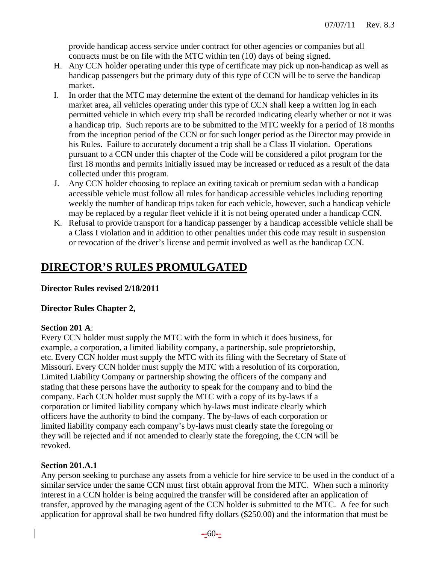provide handicap access service under contract for other agencies or companies but all contracts must be on file with the MTC within ten (10) days of being signed.

- H. Any CCN holder operating under this type of certificate may pick up non-handicap as well as handicap passengers but the primary duty of this type of CCN will be to serve the handicap market.
- I. In order that the MTC may determine the extent of the demand for handicap vehicles in its market area, all vehicles operating under this type of CCN shall keep a written log in each permitted vehicle in which every trip shall be recorded indicating clearly whether or not it was a handicap trip. Such reports are to be submitted to the MTC weekly for a period of 18 months from the inception period of the CCN or for such longer period as the Director may provide in his Rules. Failure to accurately document a trip shall be a Class II violation. Operations pursuant to a CCN under this chapter of the Code will be considered a pilot program for the first 18 months and permits initially issued may be increased or reduced as a result of the data collected under this program.
- J. Any CCN holder choosing to replace an exiting taxicab or premium sedan with a handicap accessible vehicle must follow all rules for handicap accessible vehicles including reporting weekly the number of handicap trips taken for each vehicle, however, such a handicap vehicle may be replaced by a regular fleet vehicle if it is not being operated under a handicap CCN.
- K. Refusal to provide transport for a handicap passenger by a handicap accessible vehicle shall be a Class I violation and in addition to other penalties under this code may result in suspension or revocation of the driver's license and permit involved as well as the handicap CCN.

# **DIRECTOR'S RULES PROMULGATED**

# **Director Rules revised 2/18/2011**

# **Director Rules Chapter 2,**

#### **Section 201 A**:

Every CCN holder must supply the MTC with the form in which it does business, for example, a corporation, a limited liability company, a partnership, sole proprietorship, etc. Every CCN holder must supply the MTC with its filing with the Secretary of State of Missouri. Every CCN holder must supply the MTC with a resolution of its corporation, Limited Liability Company or partnership showing the officers of the company and stating that these persons have the authority to speak for the company and to bind the company. Each CCN holder must supply the MTC with a copy of its by-laws if a corporation or limited liability company which by-laws must indicate clearly which officers have the authority to bind the company. The by-laws of each corporation or limited liability company each company's by-laws must clearly state the foregoing or they will be rejected and if not amended to clearly state the foregoing, the CCN will be revoked.

#### **Section 201.A.1**

Any person seeking to purchase any assets from a vehicle for hire service to be used in the conduct of a similar service under the same CCN must first obtain approval from the MTC. When such a minority interest in a CCN holder is being acquired the transfer will be considered after an application of transfer, approved by the managing agent of the CCN holder is submitted to the MTC. A fee for such application for approval shall be two hundred fifty dollars (\$250.00) and the information that must be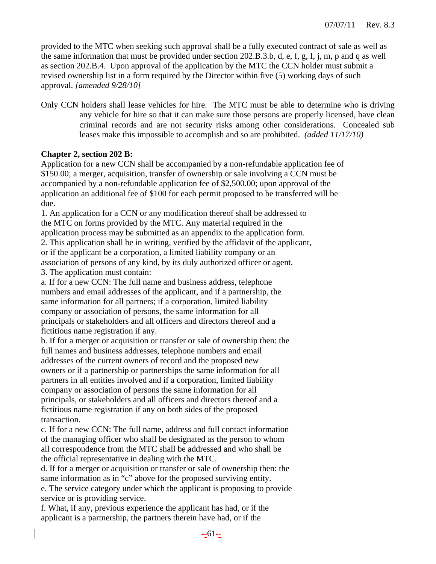provided to the MTC when seeking such approval shall be a fully executed contract of sale as well as the same information that must be provided under section 202.B.3.b, d, e, f, g, I, j, m, p and q as well as section 202.B.4. Upon approval of the application by the MTC the CCN holder must submit a revised ownership list in a form required by the Director within five (5) working days of such approval. *[amended 9/28/10]* 

Only CCN holders shall lease vehicles for hire. The MTC must be able to determine who is driving any vehicle for hire so that it can make sure those persons are properly licensed, have clean criminal records and are not security risks among other considerations. Concealed sub leases make this impossible to accomplish and so are prohibited. *(added 11/17/10)* 

# **Chapter 2, section 202 B:**

Application for a new CCN shall be accompanied by a non-refundable application fee of \$150.00; a merger, acquisition, transfer of ownership or sale involving a CCN must be accompanied by a non-refundable application fee of \$2,500.00; upon approval of the application an additional fee of \$100 for each permit proposed to be transferred will be due.

1. An application for a CCN or any modification thereof shall be addressed to the MTC on forms provided by the MTC. Any material required in the application process may be submitted as an appendix to the application form. 2. This application shall be in writing, verified by the affidavit of the applicant, or if the applicant be a corporation, a limited liability company or an association of persons of any kind, by its duly authorized officer or agent.

3. The application must contain:

a. If for a new CCN: The full name and business address, telephone numbers and email addresses of the applicant, and if a partnership, the same information for all partners; if a corporation, limited liability company or association of persons, the same information for all principals or stakeholders and all officers and directors thereof and a fictitious name registration if any.

b. If for a merger or acquisition or transfer or sale of ownership then: the full names and business addresses, telephone numbers and email addresses of the current owners of record and the proposed new owners or if a partnership or partnerships the same information for all partners in all entities involved and if a corporation, limited liability company or association of persons the same information for all principals, or stakeholders and all officers and directors thereof and a fictitious name registration if any on both sides of the proposed transaction.

c. If for a new CCN: The full name, address and full contact information of the managing officer who shall be designated as the person to whom all correspondence from the MTC shall be addressed and who shall be the official representative in dealing with the MTC.

d. If for a merger or acquisition or transfer or sale of ownership then: the same information as in "c" above for the proposed surviving entity. e. The service category under which the applicant is proposing to provide

service or is providing service. f. What, if any, previous experience the applicant has had, or if the applicant is a partnership, the partners therein have had, or if the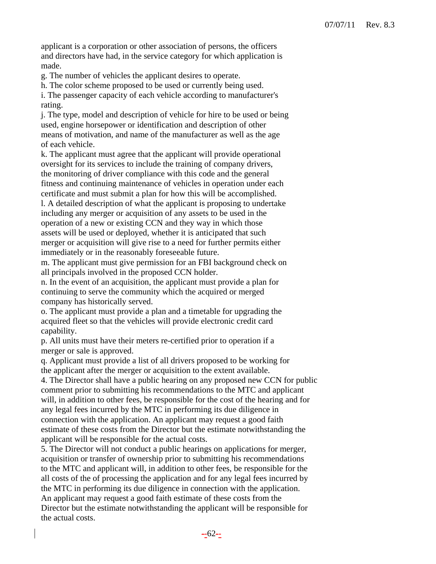applicant is a corporation or other association of persons, the officers and directors have had, in the service category for which application is made.

g. The number of vehicles the applicant desires to operate.

h. The color scheme proposed to be used or currently being used.

i. The passenger capacity of each vehicle according to manufacturer's rating.

j. The type, model and description of vehicle for hire to be used or being used, engine horsepower or identification and description of other means of motivation, and name of the manufacturer as well as the age of each vehicle.

k. The applicant must agree that the applicant will provide operational oversight for its services to include the training of company drivers, the monitoring of driver compliance with this code and the general fitness and continuing maintenance of vehicles in operation under each certificate and must submit a plan for how this will be accomplished.

l. A detailed description of what the applicant is proposing to undertake including any merger or acquisition of any assets to be used in the operation of a new or existing CCN and they way in which those assets will be used or deployed, whether it is anticipated that such merger or acquisition will give rise to a need for further permits either immediately or in the reasonably foreseeable future.

m. The applicant must give permission for an FBI background check on all principals involved in the proposed CCN holder.

n. In the event of an acquisition, the applicant must provide a plan for continuing to serve the community which the acquired or merged company has historically served.

o. The applicant must provide a plan and a timetable for upgrading the acquired fleet so that the vehicles will provide electronic credit card capability.

p. All units must have their meters re-certified prior to operation if a merger or sale is approved.

q. Applicant must provide a list of all drivers proposed to be working for the applicant after the merger or acquisition to the extent available.

4. The Director shall have a public hearing on any proposed new CCN for public comment prior to submitting his recommendations to the MTC and applicant will, in addition to other fees, be responsible for the cost of the hearing and for any legal fees incurred by the MTC in performing its due diligence in connection with the application. An applicant may request a good faith estimate of these costs from the Director but the estimate notwithstanding the applicant will be responsible for the actual costs.

5. The Director will not conduct a public hearings on applications for merger, acquisition or transfer of ownership prior to submitting his recommendations to the MTC and applicant will, in addition to other fees, be responsible for the all costs of the of processing the application and for any legal fees incurred by the MTC in performing its due diligence in connection with the application. An applicant may request a good faith estimate of these costs from the Director but the estimate notwithstanding the applicant will be responsible for the actual costs.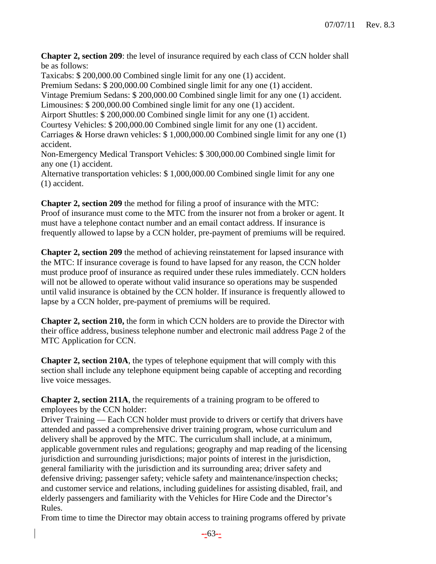**Chapter 2, section 209**: the level of insurance required by each class of CCN holder shall be as follows:

Taxicabs: \$ 200,000.00 Combined single limit for any one (1) accident. Premium Sedans: \$ 200,000.00 Combined single limit for any one (1) accident. Vintage Premium Sedans: \$ 200,000.00 Combined single limit for any one (1) accident. Limousines: \$ 200,000.00 Combined single limit for any one (1) accident. Airport Shuttles: \$ 200,000.00 Combined single limit for any one (1) accident. Courtesy Vehicles: \$ 200,000.00 Combined single limit for any one (1) accident. Carriages & Horse drawn vehicles: \$ 1,000,000.00 Combined single limit for any one (1) accident. Non-Emergency Medical Transport Vehicles: \$ 300,000.00 Combined single limit for any one (1) accident.

Alternative transportation vehicles: \$ 1,000,000.00 Combined single limit for any one (1) accident.

**Chapter 2, section 209** the method for filing a proof of insurance with the MTC: Proof of insurance must come to the MTC from the insurer not from a broker or agent. It must have a telephone contact number and an email contact address. If insurance is frequently allowed to lapse by a CCN holder, pre-payment of premiums will be required.

**Chapter 2, section 209** the method of achieving reinstatement for lapsed insurance with the MTC: If insurance coverage is found to have lapsed for any reason, the CCN holder must produce proof of insurance as required under these rules immediately. CCN holders will not be allowed to operate without valid insurance so operations may be suspended until valid insurance is obtained by the CCN holder. If insurance is frequently allowed to lapse by a CCN holder, pre-payment of premiums will be required.

**Chapter 2, section 210,** the form in which CCN holders are to provide the Director with their office address, business telephone number and electronic mail address Page 2 of the MTC Application for CCN.

**Chapter 2, section 210A**, the types of telephone equipment that will comply with this section shall include any telephone equipment being capable of accepting and recording live voice messages.

**Chapter 2, section 211A**, the requirements of a training program to be offered to employees by the CCN holder:

Driver Training — Each CCN holder must provide to drivers or certify that drivers have attended and passed a comprehensive driver training program, whose curriculum and delivery shall be approved by the MTC. The curriculum shall include, at a minimum, applicable government rules and regulations; geography and map reading of the licensing jurisdiction and surrounding jurisdictions; major points of interest in the jurisdiction, general familiarity with the jurisdiction and its surrounding area; driver safety and defensive driving; passenger safety; vehicle safety and maintenance/inspection checks; and customer service and relations, including guidelines for assisting disabled, frail, and elderly passengers and familiarity with the Vehicles for Hire Code and the Director's Rules.

From time to time the Director may obtain access to training programs offered by private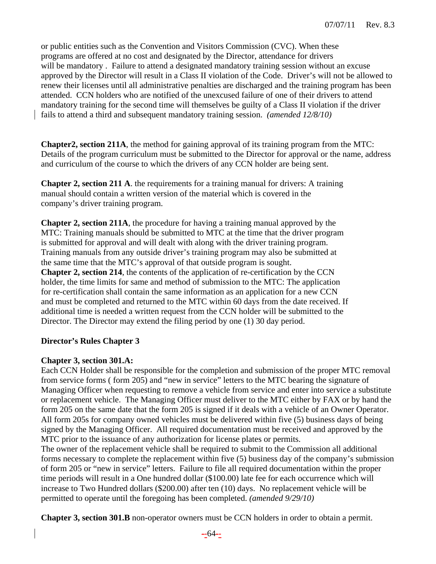or public entities such as the Convention and Visitors Commission (CVC). When these programs are offered at no cost and designated by the Director, attendance for drivers will be mandatory. Failure to attend a designated mandatory training session without an excuse approved by the Director will result in a Class II violation of the Code. Driver's will not be allowed to renew their licenses until all administrative penalties are discharged and the training program has been attended. CCN holders who are notified of the unexcused failure of one of their drivers to attend mandatory training for the second time will themselves be guilty of a Class II violation if the driver fails to attend a third and subsequent mandatory training session. *(amended 12/8/10)*

**Chapter2, section 211A**, the method for gaining approval of its training program from the MTC: Details of the program curriculum must be submitted to the Director for approval or the name, address and curriculum of the course to which the drivers of any CCN holder are being sent.

**Chapter 2, section 211 A**. the requirements for a training manual for drivers: A training manual should contain a written version of the material which is covered in the company's driver training program.

**Chapter 2, section 211A**, the procedure for having a training manual approved by the MTC: Training manuals should be submitted to MTC at the time that the driver program is submitted for approval and will dealt with along with the driver training program. Training manuals from any outside driver's training program may also be submitted at the same time that the MTC's approval of that outside program is sought. **Chapter 2, section 214**, the contents of the application of re-certification by the CCN holder, the time limits for same and method of submission to the MTC: The application for re-certification shall contain the same information as an application for a new CCN and must be completed and returned to the MTC within 60 days from the date received. If additional time is needed a written request from the CCN holder will be submitted to the Director. The Director may extend the filing period by one (1) 30 day period.

# **Director's Rules Chapter 3**

#### **Chapter 3, section 301.A:**

Each CCN Holder shall be responsible for the completion and submission of the proper MTC removal from service forms ( form 205) and "new in service" letters to the MTC bearing the signature of Managing Officer when requesting to remove a vehicle from service and enter into service a substitute or replacement vehicle. The Managing Officer must deliver to the MTC either by FAX or by hand the form 205 on the same date that the form 205 is signed if it deals with a vehicle of an Owner Operator. All form 205s for company owned vehicles must be delivered within five (5) business days of being signed by the Managing Officer. All required documentation must be received and approved by the MTC prior to the issuance of any authorization for license plates or permits.

The owner of the replacement vehicle shall be required to submit to the Commission all additional forms necessary to complete the replacement within five (5) business day of the company's submission of form 205 or "new in service" letters. Failure to file all required documentation within the proper time periods will result in a One hundred dollar (\$100.00) late fee for each occurrence which will increase to Two Hundred dollars (\$200.00) after ten (10) days. No replacement vehicle will be permitted to operate until the foregoing has been completed. *(amended 9/29/10)* 

**Chapter 3, section 301.B** non-operator owners must be CCN holders in order to obtain a permit.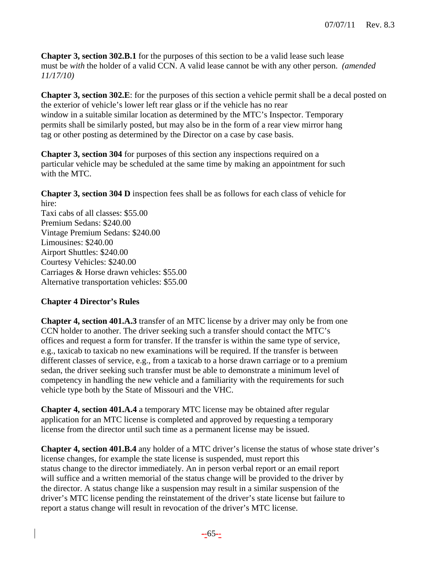**Chapter 3, section 302.B.1** for the purposes of this section to be a valid lease such lease must be *with* the holder of a valid CCN. A valid lease cannot be with any other person. *(amended 11/17/10)* 

**Chapter 3, section 302.E**: for the purposes of this section a vehicle permit shall be a decal posted on the exterior of vehicle's lower left rear glass or if the vehicle has no rear window in a suitable similar location as determined by the MTC's Inspector. Temporary permits shall be similarly posted, but may also be in the form of a rear view mirror hang tag or other posting as determined by the Director on a case by case basis.

**Chapter 3, section 304** for purposes of this section any inspections required on a particular vehicle may be scheduled at the same time by making an appointment for such with the MTC.

**Chapter 3, section 304 D** inspection fees shall be as follows for each class of vehicle for hire:

Taxi cabs of all classes: \$55.00 Premium Sedans: \$240.00 Vintage Premium Sedans: \$240.00 Limousines: \$240.00 Airport Shuttles: \$240.00 Courtesy Vehicles: \$240.00 Carriages & Horse drawn vehicles: \$55.00 Alternative transportation vehicles: \$55.00

# **Chapter 4 Director's Rules**

**Chapter 4, section 401.A.3** transfer of an MTC license by a driver may only be from one CCN holder to another. The driver seeking such a transfer should contact the MTC's offices and request a form for transfer. If the transfer is within the same type of service, e.g., taxicab to taxicab no new examinations will be required. If the transfer is between different classes of service, e.g., from a taxicab to a horse drawn carriage or to a premium sedan, the driver seeking such transfer must be able to demonstrate a minimum level of competency in handling the new vehicle and a familiarity with the requirements for such vehicle type both by the State of Missouri and the VHC.

**Chapter 4, section 401.A.4** a temporary MTC license may be obtained after regular application for an MTC license is completed and approved by requesting a temporary license from the director until such time as a permanent license may be issued.

**Chapter 4, section 401.B.4** any holder of a MTC driver's license the status of whose state driver's license changes, for example the state license is suspended, must report this status change to the director immediately. An in person verbal report or an email report will suffice and a written memorial of the status change will be provided to the driver by the director. A status change like a suspension may result in a similar suspension of the driver's MTC license pending the reinstatement of the driver's state license but failure to report a status change will result in revocation of the driver's MTC license.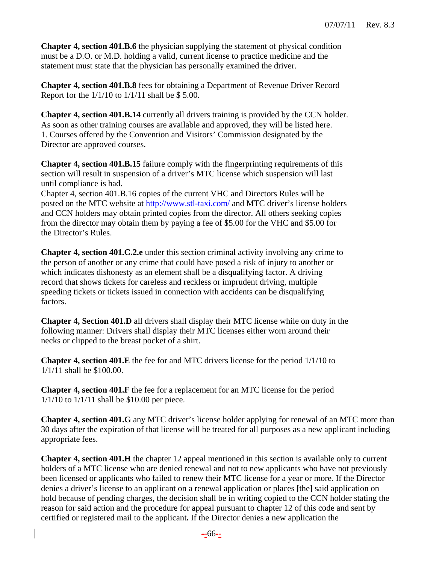**Chapter 4, section 401.B.6** the physician supplying the statement of physical condition must be a D.O. or M.D. holding a valid, current license to practice medicine and the statement must state that the physician has personally examined the driver.

**Chapter 4, section 401.B.8** fees for obtaining a Department of Revenue Driver Record Report for the  $1/1/10$  to  $1/1/11$  shall be \$ 5.00.

**Chapter 4, section 401.B.14** currently all drivers training is provided by the CCN holder. As soon as other training courses are available and approved, they will be listed here. 1. Courses offered by the Convention and Visitors' Commission designated by the Director are approved courses.

**Chapter 4, section 401.B.15** failure comply with the fingerprinting requirements of this section will result in suspension of a driver's MTC license which suspension will last until compliance is had.

Chapter 4, section 401.B.16 copies of the current VHC and Directors Rules will be posted on the MTC website at http://www.stl-taxi.com/ and MTC driver's license holders and CCN holders may obtain printed copies from the director. All others seeking copies from the director may obtain them by paying a fee of \$5.00 for the VHC and \$5.00 for the Director's Rules.

**Chapter 4, section 401.C.2.e** under this section criminal activity involving any crime to the person of another or any crime that could have posed a risk of injury to another or which indicates dishonesty as an element shall be a disqualifying factor. A driving record that shows tickets for careless and reckless or imprudent driving, multiple speeding tickets or tickets issued in connection with accidents can be disqualifying factors.

**Chapter 4, Section 401.D** all drivers shall display their MTC license while on duty in the following manner: Drivers shall display their MTC licenses either worn around their necks or clipped to the breast pocket of a shirt.

**Chapter 4, section 401.E** the fee for and MTC drivers license for the period 1/1/10 to 1/1/11 shall be \$100.00.

**Chapter 4, section 401.F** the fee for a replacement for an MTC license for the period 1/1/10 to 1/1/11 shall be \$10.00 per piece.

**Chapter 4, section 401.G** any MTC driver's license holder applying for renewal of an MTC more than 30 days after the expiration of that license will be treated for all purposes as a new applicant including appropriate fees.

**Chapter 4, section 401.H** the chapter 12 appeal mentioned in this section is available only to current holders of a MTC license who are denied renewal and not to new applicants who have not previously been licensed or applicants who failed to renew their MTC license for a year or more. If the Director denies a driver's license to an applicant on a renewal application or places **[**the**]** said application on hold because of pending charges, the decision shall be in writing copied to the CCN holder stating the reason for said action and the procedure for appeal pursuant to chapter 12 of this code and sent by certified or registered mail to the applicant**.** If the Director denies a new application the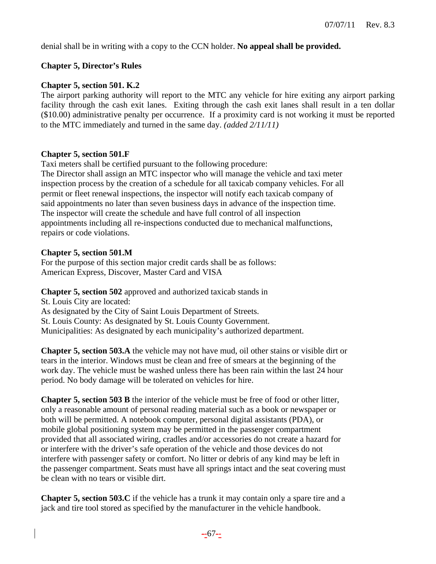denial shall be in writing with a copy to the CCN holder. **No appeal shall be provided.** 

# **Chapter 5, Director's Rules**

#### **Chapter 5, section 501. K.2**

The airport parking authority will report to the MTC any vehicle for hire exiting any airport parking facility through the cash exit lanes. Exiting through the cash exit lanes shall result in a ten dollar (\$10.00) administrative penalty per occurrence. If a proximity card is not working it must be reported to the MTC immediately and turned in the same day. *(added 2/11/11)* 

# **Chapter 5, section 501.F**

Taxi meters shall be certified pursuant to the following procedure: The Director shall assign an MTC inspector who will manage the vehicle and taxi meter inspection process by the creation of a schedule for all taxicab company vehicles. For all permit or fleet renewal inspections, the inspector will notify each taxicab company of said appointments no later than seven business days in advance of the inspection time. The inspector will create the schedule and have full control of all inspection appointments including all re-inspections conducted due to mechanical malfunctions, repairs or code violations.

# **Chapter 5, section 501.M**

For the purpose of this section major credit cards shall be as follows: American Express, Discover, Master Card and VISA

**Chapter 5, section 502** approved and authorized taxicab stands in

St. Louis City are located: As designated by the City of Saint Louis Department of Streets. St. Louis County: As designated by St. Louis County Government. Municipalities: As designated by each municipality's authorized department.

**Chapter 5, section 503.A** the vehicle may not have mud, oil other stains or visible dirt or tears in the interior. Windows must be clean and free of smears at the beginning of the work day. The vehicle must be washed unless there has been rain within the last 24 hour period. No body damage will be tolerated on vehicles for hire.

**Chapter 5, section 503 B** the interior of the vehicle must be free of food or other litter, only a reasonable amount of personal reading material such as a book or newspaper or both will be permitted. A notebook computer, personal digital assistants (PDA), or mobile global positioning system may be permitted in the passenger compartment provided that all associated wiring, cradles and/or accessories do not create a hazard for or interfere with the driver's safe operation of the vehicle and those devices do not interfere with passenger safety or comfort. No litter or debris of any kind may be left in the passenger compartment. Seats must have all springs intact and the seat covering must be clean with no tears or visible dirt.

**Chapter 5, section 503.C** if the vehicle has a trunk it may contain only a spare tire and a jack and tire tool stored as specified by the manufacturer in the vehicle handbook.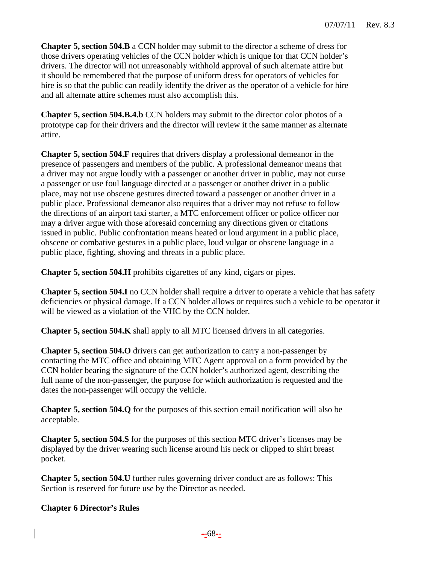**Chapter 5, section 504.B** a CCN holder may submit to the director a scheme of dress for those drivers operating vehicles of the CCN holder which is unique for that CCN holder's drivers. The director will not unreasonably withhold approval of such alternate attire but it should be remembered that the purpose of uniform dress for operators of vehicles for hire is so that the public can readily identify the driver as the operator of a vehicle for hire and all alternate attire schemes must also accomplish this.

**Chapter 5, section 504.B.4.b** CCN holders may submit to the director color photos of a prototype cap for their drivers and the director will review it the same manner as alternate attire.

**Chapter 5, section 504.F** requires that drivers display a professional demeanor in the presence of passengers and members of the public. A professional demeanor means that a driver may not argue loudly with a passenger or another driver in public, may not curse a passenger or use foul language directed at a passenger or another driver in a public place, may not use obscene gestures directed toward a passenger or another driver in a public place. Professional demeanor also requires that a driver may not refuse to follow the directions of an airport taxi starter, a MTC enforcement officer or police officer nor may a driver argue with those aforesaid concerning any directions given or citations issued in public. Public confrontation means heated or loud argument in a public place, obscene or combative gestures in a public place, loud vulgar or obscene language in a public place, fighting, shoving and threats in a public place.

**Chapter 5, section 504.H** prohibits cigarettes of any kind, cigars or pipes.

**Chapter 5, section 504.I** no CCN holder shall require a driver to operate a vehicle that has safety deficiencies or physical damage. If a CCN holder allows or requires such a vehicle to be operator it will be viewed as a violation of the VHC by the CCN holder.

**Chapter 5, section 504.K** shall apply to all MTC licensed drivers in all categories.

**Chapter 5, section 504.O** drivers can get authorization to carry a non-passenger by contacting the MTC office and obtaining MTC Agent approval on a form provided by the CCN holder bearing the signature of the CCN holder's authorized agent, describing the full name of the non-passenger, the purpose for which authorization is requested and the dates the non-passenger will occupy the vehicle.

**Chapter 5, section 504.Q** for the purposes of this section email notification will also be acceptable.

**Chapter 5, section 504.S** for the purposes of this section MTC driver's licenses may be displayed by the driver wearing such license around his neck or clipped to shirt breast pocket.

**Chapter 5, section 504.U** further rules governing driver conduct are as follows: This Section is reserved for future use by the Director as needed.

# **Chapter 6 Director's Rules**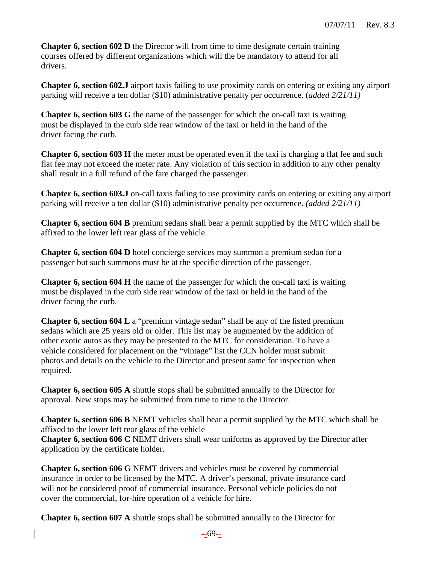**Chapter 6, section 602 D** the Director will from time to time designate certain training courses offered by different organizations which will the be mandatory to attend for all drivers.

**Chapter 6, section 602.J** airport taxis failing to use proximity cards on entering or exiting any airport parking will receive a ten dollar (\$10) administrative penalty per occurrence. (*added 2/21/11)* 

**Chapter 6, section 603 G** the name of the passenger for which the on-call taxi is waiting must be displayed in the curb side rear window of the taxi or held in the hand of the driver facing the curb.

**Chapter 6, section 603 H** the meter must be operated even if the taxi is charging a flat fee and such flat fee may not exceed the meter rate. Any violation of this section in addition to any other penalty shall result in a full refund of the fare charged the passenger.

**Chapter 6, section 603.J** on-call taxis failing to use proximity cards on entering or exiting any airport parking will receive a ten dollar (\$10) administrative penalty per occurrence. *(added 2/21/11)* 

**Chapter 6, section 604 B** premium sedans shall bear a permit supplied by the MTC which shall be affixed to the lower left rear glass of the vehicle.

**Chapter 6, section 604 D** hotel concierge services may summon a premium sedan for a passenger but such summons must be at the specific direction of the passenger.

**Chapter 6, section 604 H** the name of the passenger for which the on-call taxi is waiting must be displayed in the curb side rear window of the taxi or held in the hand of the driver facing the curb.

**Chapter 6, section 604 L** a "premium vintage sedan" shall be any of the listed premium sedans which are 25 years old or older. This list may be augmented by the addition of other exotic autos as they may be presented to the MTC for consideration. To have a vehicle considered for placement on the "vintage" list the CCN holder must submit photos and details on the vehicle to the Director and present same for inspection when required.

**Chapter 6, section 605 A** shuttle stops shall be submitted annually to the Director for approval. New stops may be submitted from time to time to the Director.

**Chapter 6, section 606 B** NEMT vehicles shall bear a permit supplied by the MTC which shall be affixed to the lower left rear glass of the vehicle

**Chapter 6, section 606 C** NEMT drivers shall wear uniforms as approved by the Director after application by the certificate holder.

**Chapter 6, section 606 G** NEMT drivers and vehicles must be covered by commercial insurance in order to be licensed by the MTC. A driver's personal, private insurance card will not be considered proof of commercial insurance. Personal vehicle policies do not cover the commercial, for-hire operation of a vehicle for hire.

**Chapter 6, section 607 A** shuttle stops shall be submitted annually to the Director for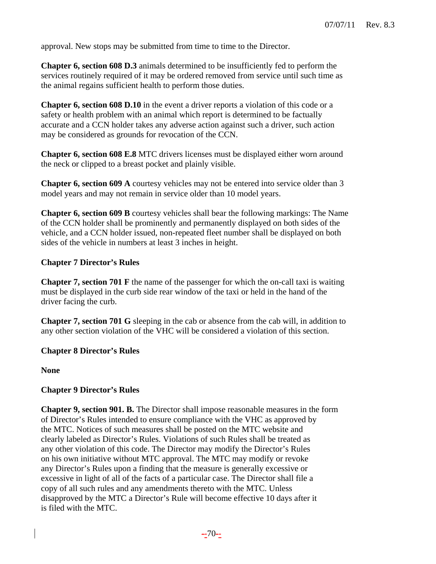approval. New stops may be submitted from time to time to the Director.

**Chapter 6, section 608 D.3** animals determined to be insufficiently fed to perform the services routinely required of it may be ordered removed from service until such time as the animal regains sufficient health to perform those duties.

**Chapter 6, section 608 D.10** in the event a driver reports a violation of this code or a safety or health problem with an animal which report is determined to be factually accurate and a CCN holder takes any adverse action against such a driver, such action may be considered as grounds for revocation of the CCN.

**Chapter 6, section 608 E.8** MTC drivers licenses must be displayed either worn around the neck or clipped to a breast pocket and plainly visible.

**Chapter 6, section 609 A** courtesy vehicles may not be entered into service older than 3 model years and may not remain in service older than 10 model years.

**Chapter 6, section 609 B** courtesy vehicles shall bear the following markings: The Name of the CCN holder shall be prominently and permanently displayed on both sides of the vehicle, and a CCN holder issued, non-repeated fleet number shall be displayed on both sides of the vehicle in numbers at least 3 inches in height.

#### **Chapter 7 Director's Rules**

**Chapter 7, section 701 F** the name of the passenger for which the on-call taxi is waiting must be displayed in the curb side rear window of the taxi or held in the hand of the driver facing the curb.

**Chapter 7, section 701 G** sleeping in the cab or absence from the cab will, in addition to any other section violation of the VHC will be considered a violation of this section.

#### **Chapter 8 Director's Rules**

**None** 

#### **Chapter 9 Director's Rules**

**Chapter 9, section 901. B.** The Director shall impose reasonable measures in the form of Director's Rules intended to ensure compliance with the VHC as approved by the MTC. Notices of such measures shall be posted on the MTC website and clearly labeled as Director's Rules. Violations of such Rules shall be treated as any other violation of this code. The Director may modify the Director's Rules on his own initiative without MTC approval. The MTC may modify or revoke any Director's Rules upon a finding that the measure is generally excessive or excessive in light of all of the facts of a particular case. The Director shall file a copy of all such rules and any amendments thereto with the MTC. Unless disapproved by the MTC a Director's Rule will become effective 10 days after it is filed with the MTC.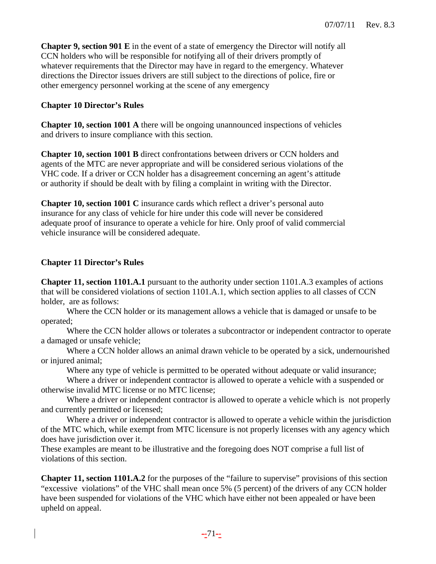**Chapter 9, section 901 E** in the event of a state of emergency the Director will notify all CCN holders who will be responsible for notifying all of their drivers promptly of whatever requirements that the Director may have in regard to the emergency. Whatever directions the Director issues drivers are still subject to the directions of police, fire or other emergency personnel working at the scene of any emergency

# **Chapter 10 Director's Rules**

**Chapter 10, section 1001 A** there will be ongoing unannounced inspections of vehicles and drivers to insure compliance with this section.

**Chapter 10, section 1001 B** direct confrontations between drivers or CCN holders and agents of the MTC are never appropriate and will be considered serious violations of the VHC code. If a driver or CCN holder has a disagreement concerning an agent's attitude or authority if should be dealt with by filing a complaint in writing with the Director.

**Chapter 10, section 1001 C** insurance cards which reflect a driver's personal auto insurance for any class of vehicle for hire under this code will never be considered adequate proof of insurance to operate a vehicle for hire. Only proof of valid commercial vehicle insurance will be considered adequate.

# **Chapter 11 Director's Rules**

**Chapter 11, section 1101.A.1** pursuant to the authority under section 1101.A.3 examples of actions that will be considered violations of section 1101.A.1, which section applies to all classes of CCN holder, are as follows:

 Where the CCN holder or its management allows a vehicle that is damaged or unsafe to be operated;

 Where the CCN holder allows or tolerates a subcontractor or independent contractor to operate a damaged or unsafe vehicle;

 Where a CCN holder allows an animal drawn vehicle to be operated by a sick, undernourished or injured animal;

Where any type of vehicle is permitted to be operated without adequate or valid insurance;

Where a driver or independent contractor is allowed to operate a vehicle with a suspended or otherwise invalid MTC license or no MTC license;

Where a driver or independent contractor is allowed to operate a vehicle which is not properly and currently permitted or licensed;

 Where a driver or independent contractor is allowed to operate a vehicle within the jurisdiction of the MTC which, while exempt from MTC licensure is not properly licenses with any agency which does have jurisdiction over it.

These examples are meant to be illustrative and the foregoing does NOT comprise a full list of violations of this section.

**Chapter 11, section 1101.A.2** for the purposes of the "failure to supervise" provisions of this section "excessive violations" of the VHC shall mean once 5% (5 percent) of the drivers of any CCN holder have been suspended for violations of the VHC which have either not been appealed or have been upheld on appeal.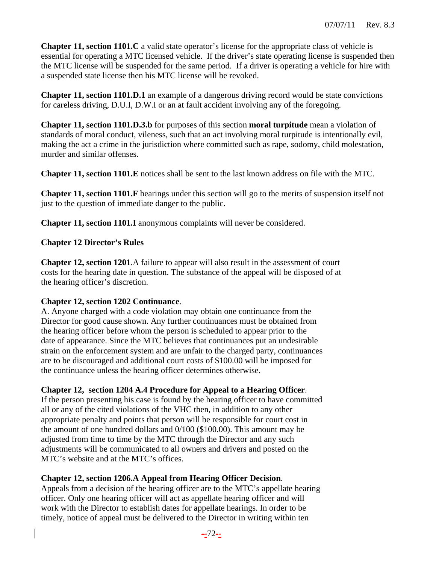**Chapter 11, section 1101.C** a valid state operator's license for the appropriate class of vehicle is essential for operating a MTC licensed vehicle. If the driver's state operating license is suspended then the MTC license will be suspended for the same period. If a driver is operating a vehicle for hire with a suspended state license then his MTC license will be revoked.

**Chapter 11, section 1101.D.1** an example of a dangerous driving record would be state convictions for careless driving, D.U.I, D.W.I or an at fault accident involving any of the foregoing.

**Chapter 11, section 1101.D.3.b** for purposes of this section **moral turpitude** mean a violation of standards of moral conduct, vileness, such that an act involving moral turpitude is intentionally evil, making the act a crime in the jurisdiction where committed such as rape, sodomy, child molestation, murder and similar offenses.

**Chapter 11, section 1101.E** notices shall be sent to the last known address on file with the MTC.

**Chapter 11, section 1101.F** hearings under this section will go to the merits of suspension itself not just to the question of immediate danger to the public.

**Chapter 11, section 1101.I** anonymous complaints will never be considered.

# **Chapter 12 Director's Rules**

**Chapter 12, section 1201**.A failure to appear will also result in the assessment of court costs for the hearing date in question. The substance of the appeal will be disposed of at the hearing officer's discretion.

#### **Chapter 12, section 1202 Continuance**.

A. Anyone charged with a code violation may obtain one continuance from the Director for good cause shown. Any further continuances must be obtained from the hearing officer before whom the person is scheduled to appear prior to the date of appearance. Since the MTC believes that continuances put an undesirable strain on the enforcement system and are unfair to the charged party, continuances are to be discouraged and additional court costs of \$100.00 will be imposed for the continuance unless the hearing officer determines otherwise.

# **Chapter 12, section 1204 A.4 Procedure for Appeal to a Hearing Officer**.

If the person presenting his case is found by the hearing officer to have committed all or any of the cited violations of the VHC then, in addition to any other appropriate penalty and points that person will be responsible for court cost in the amount of one hundred dollars and 0/100 (\$100.00). This amount may be adjusted from time to time by the MTC through the Director and any such adjustments will be communicated to all owners and drivers and posted on the MTC's website and at the MTC's offices.

# **Chapter 12, section 1206.A Appeal from Hearing Officer Decision**.

Appeals from a decision of the hearing officer are to the MTC's appellate hearing officer. Only one hearing officer will act as appellate hearing officer and will work with the Director to establish dates for appellate hearings. In order to be timely, notice of appeal must be delivered to the Director in writing within ten